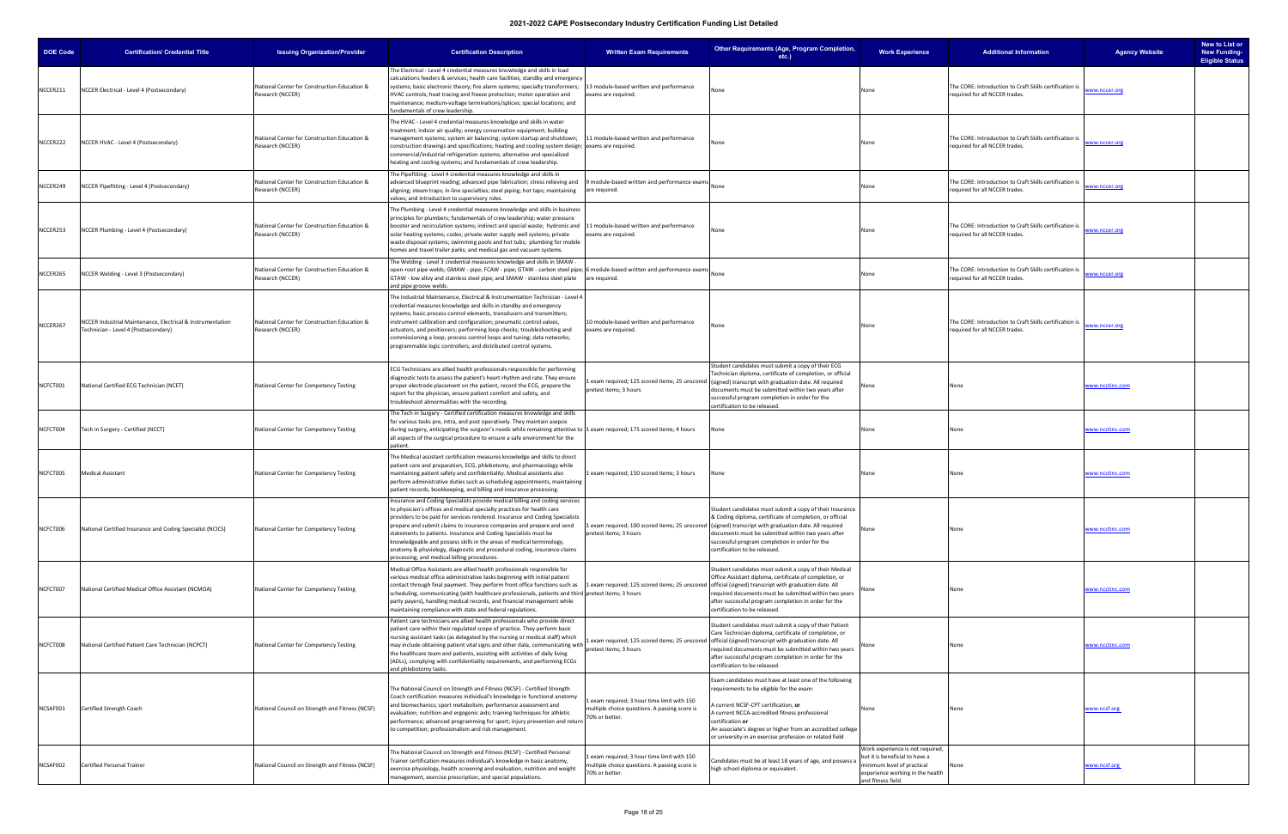| <b>DOE Code</b> | <b>Certification/ Credential Title</b>                                                             | <b>Issuing Organization/Provider</b>                             | <b>Certification Description</b>                                                                                                                                                                                                                                                                                                                                                                                                                                                                                                                                                        | <b>Written Exam Requirements</b>                                                                               | Other Requirements (Age, Program Completion,<br>$etc.$ )                                                                                                                                                                                                                                                                                                                    | <b>Work Experience</b>                                                                                                                                    | <b>Additional Information</b>                                                             | <b>Agency Website</b>  | New to List or<br><b>New Funding-</b><br><b>Eligible Status</b> |
|-----------------|----------------------------------------------------------------------------------------------------|------------------------------------------------------------------|-----------------------------------------------------------------------------------------------------------------------------------------------------------------------------------------------------------------------------------------------------------------------------------------------------------------------------------------------------------------------------------------------------------------------------------------------------------------------------------------------------------------------------------------------------------------------------------------|----------------------------------------------------------------------------------------------------------------|-----------------------------------------------------------------------------------------------------------------------------------------------------------------------------------------------------------------------------------------------------------------------------------------------------------------------------------------------------------------------------|-----------------------------------------------------------------------------------------------------------------------------------------------------------|-------------------------------------------------------------------------------------------|------------------------|-----------------------------------------------------------------|
| NCCER211        | NCCER Electrical - Level 4 (Postsecondary)                                                         | National Center for Construction Education &<br>Research (NCCER) | The Electrical - Level 4 credential measures knowledge and skills in load<br>calculations feeders & services; health care facilities; standby and emergency<br>systems; basic electronic theory; fire alarm systems; specialty transformers;<br>HVAC controls; heat tracing and freeze protection; motor operation and<br>maintenance; medium-voltage terminations/splices; special locations; and<br>fundamentals of crew leadership.                                                                                                                                                  | 13 module-based written and performance<br>exams are required.                                                 | None                                                                                                                                                                                                                                                                                                                                                                        | None                                                                                                                                                      | The CORE: Introduction to Craft Skills certification is<br>equired for all NCCER trades.  | www.nccer.org          |                                                                 |
| NCCER222        | NCCER HVAC - Level 4 (Postsecondary)                                                               | National Center for Construction Education &<br>Research (NCCER) | The HVAC - Level 4 credential measures knowledge and skills in water<br>treatment; indoor air quality; energy conservation equipment; building<br>management systems; system air balancing; system startup and shutdown;<br>construction drawings and specifications; heating and cooling system design; exams are required.<br>commercial/industrial refrigeration systems; alternative and specialized<br>heating and cooling systems; and fundamentals of crew leadership.                                                                                                           | 11 module-based written and performance                                                                        | None                                                                                                                                                                                                                                                                                                                                                                        | None                                                                                                                                                      | The CORE: Introduction to Craft Skills certification is<br>equired for all NCCER trades.  | ww.nccer.org           |                                                                 |
| NCCER249        | NCCER Pipefitting - Level 4 (Postsecondary)                                                        | National Center for Construction Education &<br>Research (NCCER) | The Pipefitting - Level 4 credential measures knowledge and skills in<br>advanced blueprint reading; advanced pipe fabrication; stress relieving and<br>aligning; steam traps; in-line specialties; steel piping; hot taps; maintaining<br>valves; and introduction to supervisory roles.                                                                                                                                                                                                                                                                                               | module-based written and performance exams<br>are required.                                                    |                                                                                                                                                                                                                                                                                                                                                                             | None                                                                                                                                                      | The CORE: Introduction to Craft Skills certification is<br>required for all NCCER trades. | www.nccer.org          |                                                                 |
| NCCER253        | NCCER Plumbing - Level 4 (Postsecondary)                                                           | National Center for Construction Education &<br>Research (NCCER) | The Plumbing - Level 4 credential measures knowledge and skills in business<br>principles for plumbers; fundamentals of crew leadership; water pressure<br>booster and recirculation systems; indirect and special waste; hydronic and 11 module-based written and performance<br>solar heating systems; codes; private water supply well systems; private<br>waste disposal systems; swimming pools and hot tubs; plumbing for mobile<br>homes and travel trailer parks; and medical gas and vacuum systems.                                                                           | exams are required.                                                                                            | None                                                                                                                                                                                                                                                                                                                                                                        | None                                                                                                                                                      | The CORE: Introduction to Craft Skills certification is<br>equired for all NCCER trades.  | www.nccer.org          |                                                                 |
| NCCER265        | NCCER Welding - Level 3 (Postsecondary)                                                            | National Center for Construction Education &<br>Research (NCCER) | The Welding - Level 3 credential measures knowledge and skills in SMAW -<br>open-root pipe welds; GMAW - pipe; FCAW - pipe; GTAW - carbon steel pipe; 6 module-based written and performance exams<br>GTAW - low alloy and stainless steel pipe; and SMAW - stainless steel plate<br>and pipe groove welds.                                                                                                                                                                                                                                                                             | are required.                                                                                                  |                                                                                                                                                                                                                                                                                                                                                                             | None                                                                                                                                                      | The CORE: Introduction to Craft Skills certification is<br>required for all NCCER trades. | www.nccer.org          |                                                                 |
| NCCER267        | NCCER Industrial Maintenance, Electrical & Instrumentation<br>Technician - Level 4 (Postsecondary) | National Center for Construction Education &<br>Research (NCCER) | The Industrial Maintenance, Electrical & Instrumentation Technician - Level 4<br>credential measures knowledge and skills in standby and emergency<br>systems; basic process control elements, transducers and transmitters;<br>instrument calibration and configuration; pneumatic control valves,<br>actuators, and positioners; performing loop checks; troubleshooting and<br>commissioning a loop; process control loops and tuning; data networks;<br>programmable logic controllers; and distributed control systems.                                                            | 10 module-based written and performance<br>exams are required.                                                 | None                                                                                                                                                                                                                                                                                                                                                                        | None                                                                                                                                                      | The CORE: Introduction to Craft Skills certification is<br>required for all NCCER trades. | ww.nccer.org           |                                                                 |
| NCFCT001        | National Certified ECG Technician (NCET)                                                           | National Center for Competency Testing                           | ECG Technicians are allied health professionals responsible for performing<br>diagnostic tests to assess the patient's heart rhythm and rate. They ensure<br>proper electrode placement on the patient, record the ECG, prepare the<br>report for the physician, ensure patient comfort and safety, and<br>roubleshoot abnormalities with the recording.                                                                                                                                                                                                                                | pretest items; 3 hours                                                                                         | Student candidates must submit a copy of their ECG<br>Technician diploma, certificate of completion, or official<br>Lexam required; 125 scored items; 25 unscored (signed) transcript with graduation date. All required<br>documents must be submitted within two years after<br>successful program completion in order for the<br>certification to be released.           | None                                                                                                                                                      | None                                                                                      | www.ncctinc.com        |                                                                 |
| NCFCT004        | Tech in Surgery - Certified (NCCT)                                                                 | National Center for Competency Testing                           | The Tech in Surgery - Certified certification measures knowledge and skills<br>for various tasks pre, intra, and post operatively. They maintain asepsis<br>during surgery, anticipating the surgeon's needs while remaining attentive to 1 exam required; 175 scored items; 4 hours<br>all aspects of the surgical procedure to ensure a safe environment for the<br>patient.                                                                                                                                                                                                          |                                                                                                                | None                                                                                                                                                                                                                                                                                                                                                                        | None                                                                                                                                                      | None                                                                                      | <u>www.ncctinc.com</u> |                                                                 |
| NCFCT005        | <b>Medical Assistant</b>                                                                           | National Center for Competency Testing                           | The Medical assistant certification measures knowledge and skills to direct<br>patient care and preparation, ECG, phlebotomy, and pharmacology while<br>maintaining patient safety and confidentiality. Medical assistants also<br>perform administrative duties such as scheduling appointments, maintaining<br>patient records, bookkeeping, and billing and insurance processing.                                                                                                                                                                                                    | 1 exam required; 150 scored items; 3 hours                                                                     | None                                                                                                                                                                                                                                                                                                                                                                        | None                                                                                                                                                      | None                                                                                      | www.ncctinc.com        |                                                                 |
| NCFCT006        | National Certified Insurance and Coding Specialist (NCICS)                                         | National Center for Competency Testing                           | Insurance and Coding Specialists provide medical billing and coding services<br>to physician's offices and medical specialty practices for health care<br>providers to be paid for services rendered. Insurance and Coding Specialists<br>prepare and submit claims to insurance companies and prepare and send<br>statements to patients. Insurance and Coding Specialists must be<br>knowledgeable and possess skills in the areas of medical terminology,<br>anatomy & physiology, diagnostic and procedural coding, insurance claims<br>processing, and medical billing procedures. | pretest items; 3 hours                                                                                         | tudent candidates must submit a copy of their Insurance<br>& Coding diploma, certificate of completion, or official<br>1 exam required; 100 scored items; 25 unscored (signed) transcript with graduation date. All required<br>documents must be submitted within two years after<br>successful program completion in order for the<br>certification to be released.       | None                                                                                                                                                      | None                                                                                      | <u>www.ncctinc.com</u> |                                                                 |
| NCFCT007        | National Certified Medical Office Assistant (NCMOA)                                                | National Center for Competency Testing                           | Medical Office Assistants are allied health professionals responsible for<br>various medical office administrative tasks beginning with initial patient<br>contact through final payment. They perform front office functions such as<br>scheduling, communicating (with healthcare professionals, patients and third pretest items; 3 hours<br>party payers), handling medical records, and financial management while<br>maintaining compliance with state and federal regulations.                                                                                                   |                                                                                                                | Student candidates must submit a copy of their Medical<br>Office Assistant diploma, certificate of completion, or<br>Lexam required; 125 scored items; 25 unscored official (signed) transcript with graduation date. All<br>required documents must be submitted within two years<br>after successful program completion in order for the<br>certification to be released. |                                                                                                                                                           |                                                                                           | www.ncctinc.com        |                                                                 |
| NCFCT008        | National Certified Patient Care Technician (NCPCT)                                                 | National Center for Competency Testing                           | Patient care technicians are allied health professionals who provide direct<br>patient care within their regulated scope of practice. They perform basic<br>nursing assistant tasks (as delegated by the nursing or medical staff) which<br>may include obtaining patient vital signs and other data, communicating with<br>the healthcare team and patients, assisting with activities of daily living<br>(ADLs), complying with confidentiality requirements, and performing ECGs<br>and phlebotomy tasks.                                                                            | pretest items; 3 hours                                                                                         | Student candidates must submit a copy of their Patient<br>Care Technician diploma, certificate of completion, or<br>1 exam required; 125 scored items; 25 unscored official (signed) transcript with graduation date. All<br>required documents must be submitted within two years<br>after successful program completion in order for the<br>certification to be released. |                                                                                                                                                           | None                                                                                      | www.ncctinc.com        |                                                                 |
| NCSAF001        | Certified Strength Coach                                                                           | National Council on Strength and Fitness (NCSF)                  | The National Council on Strength and Fitness (NCSF) - Certified Strength<br>Coach certification measures individual's knowledge in functional anatomy<br>and biomechanics; sport metabolism; performance assessment and<br>evaluation; nutrition and ergogenic aids; training techniques for athletic<br>performance; advanced programming for sport; injury prevention and return<br>to competition; professionalism and risk management.                                                                                                                                              | Lexam required; 3 hour time limit with 150<br>multiple choice questions. A passing score is<br>70% or better.  | Exam candidates must have at least one of the following<br>requirements to be eligible for the exam:<br>current NCSF-CPT certification, or<br>A current NCCA-accredited fitness professional<br>certification or<br>An associate's degree or higher from an accredited college<br>or university in an exercise profession or related field                                  | None                                                                                                                                                      | None                                                                                      | www.ncsf.org           |                                                                 |
| NCSAF002        | Certified Personal Trainer                                                                         | National Council on Strength and Fitness (NCSF)                  | The National Council on Strength and Fitness (NCSF) - Certified Personal<br>Trainer certification measures individual's knowledge in basic anatomy,<br>exercise physiology, health screening and evaluation, nutrition and weight<br>management, exercise prescription, and special populations.                                                                                                                                                                                                                                                                                        | 1 exam required; 3 hour time limit with 150<br>multiple choice questions. A passing score is<br>70% or better. | Candidates must be at least 18 years of age, and possess a<br>high school diploma or equivalent.                                                                                                                                                                                                                                                                            | Work experience is not required<br>but it is beneficial to have a<br>minimum level of practical<br>experience working in the health<br>and fitness field. |                                                                                           | www.ncsf.org           |                                                                 |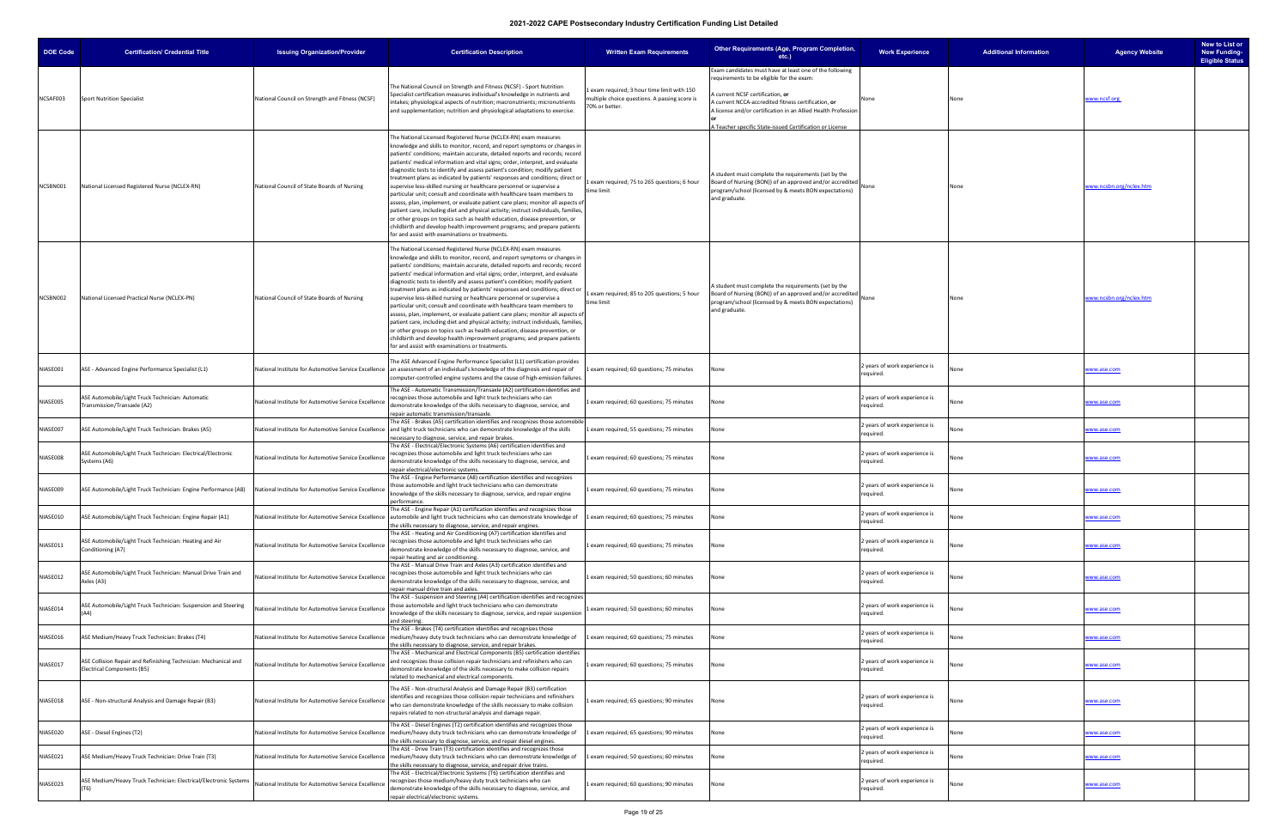| <b>DOE Code</b> | <b>Certification/ Credential Title</b>                                                        | <b>Issuing Organization/Provider</b>                        | <b>Certification Description</b>                                                                                                                                                                                                                                                                                                                                                                                                                                                                                                                                                                                                                                                                                                                                                                                                                                                                                                                                                                                           | <b>Written Exam Requirements</b>                                                                             | Other Requirements (Age, Program Completion,<br>etc.)                                                                                                                                                                | <b>Work Experience</b>                     | <b>Additional Information</b> | <b>Agency Website</b>          | New to List or<br><b>New Funding-</b><br><b>Eligible Status</b> |
|-----------------|-----------------------------------------------------------------------------------------------|-------------------------------------------------------------|----------------------------------------------------------------------------------------------------------------------------------------------------------------------------------------------------------------------------------------------------------------------------------------------------------------------------------------------------------------------------------------------------------------------------------------------------------------------------------------------------------------------------------------------------------------------------------------------------------------------------------------------------------------------------------------------------------------------------------------------------------------------------------------------------------------------------------------------------------------------------------------------------------------------------------------------------------------------------------------------------------------------------|--------------------------------------------------------------------------------------------------------------|----------------------------------------------------------------------------------------------------------------------------------------------------------------------------------------------------------------------|--------------------------------------------|-------------------------------|--------------------------------|-----------------------------------------------------------------|
|                 |                                                                                               |                                                             |                                                                                                                                                                                                                                                                                                                                                                                                                                                                                                                                                                                                                                                                                                                                                                                                                                                                                                                                                                                                                            |                                                                                                              | Exam candidates must have at least one of the following<br>requirements to be eligible for the exam:                                                                                                                 |                                            |                               |                                |                                                                 |
| NCSAF003        | <b>Sport Nutrition Specialist</b>                                                             | National Council on Strength and Fitness (NCSF)             | The National Council on Strength and Fitness (NCSF) - Sport Nutrition<br>Specialist certification measures individual's knowledge in nutrients and<br>intakes; physiological aspects of nutrition; macronutrients; micronutrients<br>and supplementation; nutrition and physiological adaptations to exercise.                                                                                                                                                                                                                                                                                                                                                                                                                                                                                                                                                                                                                                                                                                             | exam required; 3 hour time limit with 150<br>multiple choice questions. A passing score is<br>70% or better. | A current NCSF certification, or<br>A current NCCA-accredited fitness certification, or<br>A license and/or certification in an Allied Health Profession<br>A Teacher specific State-issued Certification or License | None                                       | None                          | www.ncsf.org                   |                                                                 |
| NCSBN001        | National Licensed Registered Nurse (NCLEX-RN)                                                 | National Council of State Boards of Nursing                 | The National Licensed Registered Nurse (NCLEX-RN) exam measures<br>knowledge and skills to monitor, record, and report symptoms or changes in<br>patients' conditions; maintain accurate, detailed reports and records; record<br>patients' medical information and vital signs; order, interpret, and evaluate<br>diagnostic tests to identify and assess patient's condition; modify patient<br>treatment plans as indicated by patients' responses and conditions; direct or<br>supervise less-skilled nursing or healthcare personnel or supervise a<br>particular unit; consult and coordinate with healthcare team members to<br>assess, plan, implement, or evaluate patient care plans; monitor all aspects of<br>patient care, including diet and physical activity; instruct individuals, families,<br>or other groups on topics such as health education, disease prevention, or<br>childbirth and develop health improvement programs; and prepare patients<br>for and assist with examinations or treatments. | 1 exam required; 75 to 265 questions; 6 hour<br>time limit                                                   | A student must complete the requirements (set by the<br>Board of Nursing (BON)) of an approved and/or accredited<br>program/school (licensed by & meets BON expectations)<br>and graduate.                           | None                                       | Jone                          | <u>www.ncsbn.org/nclex.htm</u> |                                                                 |
| NCSBN002        | National Licensed Practical Nurse (NCLEX-PN)                                                  | National Council of State Boards of Nursing                 | The National Licensed Registered Nurse (NCLEX-RN) exam measures<br>knowledge and skills to monitor, record, and report symptoms or changes in<br>patients' conditions; maintain accurate, detailed reports and records; record<br>patients' medical information and vital signs; order, interpret, and evaluate<br>diagnostic tests to identify and assess patient's condition; modify patient<br>treatment plans as indicated by patients' responses and conditions; direct or<br>supervise less-skilled nursing or healthcare personnel or supervise a<br>particular unit; consult and coordinate with healthcare team members to<br>assess, plan, implement, or evaluate patient care plans; monitor all aspects of<br>patient care, including diet and physical activity; instruct individuals, families,<br>or other groups on topics such as health education, disease prevention, or<br>childbirth and develop health improvement programs; and prepare patients<br>for and assist with examinations or treatments. | 1 exam required; 85 to 205 questions; 5 hour<br>time limit                                                   | A student must complete the requirements (set by the<br>Board of Nursing (BON)) of an approved and/or accredited<br>program/school (licensed by & meets BON expectations)<br>and graduate.                           | None                                       | None                          | www.ncsbn.org/nclex.htm        |                                                                 |
| NIASE001        | ASE - Advanced Engine Performance Specialist (L1)                                             |                                                             | The ASE Advanced Engine Performance Specialist (L1) certification provides<br>National Institute for Automotive Service Excellence an assessment of an individual's knowledge of the diagnosis and repair of<br>computer-controlled engine systems and the cause of high-emission failures.                                                                                                                                                                                                                                                                                                                                                                                                                                                                                                                                                                                                                                                                                                                                | exam required; 60 questions; 75 minutes                                                                      | None                                                                                                                                                                                                                 | 2 years of work experience is<br>required. |                               | www.ase.com                    |                                                                 |
| NIASE005        | ASE Automobile/Light Truck Technician: Automatic<br>Transmission/Transaxle (A2)               | National Institute for Automotive Service Excellence        | The ASE - Automatic Transmission/Transaxle (A2) certification identifies and<br>recognizes those automobile and light truck technicians who can<br>demonstrate knowledge of the skills necessary to diagnose, service, and<br>repair automatic transmission/transaxle.                                                                                                                                                                                                                                                                                                                                                                                                                                                                                                                                                                                                                                                                                                                                                     | 1 exam required; 60 questions; 75 minutes                                                                    | None                                                                                                                                                                                                                 | 2 years of work experience is<br>required. | Jone                          | www.ase.com                    |                                                                 |
| NIASE007        | ASE Automobile/Light Truck Technician: Brakes (A5)                                            |                                                             | The ASE - Brakes (A5) certification identifies and recognizes those automobile<br>National Institute for Automotive Service Excellence and light truck technicians who can demonstrate knowledge of the skills<br>necessary to diagnose, service, and repair brakes.                                                                                                                                                                                                                                                                                                                                                                                                                                                                                                                                                                                                                                                                                                                                                       | exam required; 55 questions; 75 minutes                                                                      | None                                                                                                                                                                                                                 | 2 years of work experience is<br>required. | lone                          | www.ase.com                    |                                                                 |
| NIASE008        | ASE Automobile/Light Truck Technician: Electrical/Electronic<br>Systems (A6)                  | National Institute for Automotive Service Excellence        | The ASE - Electrical/Electronic Systems (A6) certification identifies and<br>recognizes those automobile and light truck technicians who can<br>demonstrate knowledge of the skills necessary to diagnose, service, and<br>repair electrical/electronic systems.                                                                                                                                                                                                                                                                                                                                                                                                                                                                                                                                                                                                                                                                                                                                                           | exam required; 60 questions; 75 minutes                                                                      | None                                                                                                                                                                                                                 | 2 years of work experience is<br>required. |                               | www.ase.com                    |                                                                 |
| NIASE009        | ASE Automobile/Light Truck Technician: Engine Performance (A8)                                | National Institute for Automotive Service Excellence        | The ASE - Engine Performance (A8) certification identifies and recognizes<br>those automobile and light truck technicians who can demonstrate<br>knowledge of the skills necessary to diagnose, service, and repair engine<br>performance.                                                                                                                                                                                                                                                                                                                                                                                                                                                                                                                                                                                                                                                                                                                                                                                 | exam required; 60 questions; 75 minutes                                                                      | None                                                                                                                                                                                                                 | 2 years of work experience is<br>required. | Jone                          | www.ase.com                    |                                                                 |
| NIASE010        | ASE Automobile/Light Truck Technician: Engine Repair (A1)                                     |                                                             | he ASE - Engine Repair (A1) certification identifies and recognizes those<br>National Institute for Automotive Service Excellence automobile and light truck technicians who can demonstrate knowledge of<br>the skills necessary to diagnose, service, and repair engines.                                                                                                                                                                                                                                                                                                                                                                                                                                                                                                                                                                                                                                                                                                                                                | 1 exam required; 60 questions; 75 minutes                                                                    | None                                                                                                                                                                                                                 | 2 years of work experience is<br>required. |                               | ww.ase.com                     |                                                                 |
| NIASE011        | ASE Automobile/Light Truck Technician: Heating and Air<br>Conditioning (A7)                   | National Institute for Automotive Service Excellence        | The ASE - Heating and Air Conditioning (A7) certification identifies and<br>recognizes those automobile and light truck technicians who can<br>demonstrate knowledge of the skills necessary to diagnose, service, and<br>repair heating and air conditioning.                                                                                                                                                                                                                                                                                                                                                                                                                                                                                                                                                                                                                                                                                                                                                             | exam required; 60 questions; 75 minutes                                                                      | None                                                                                                                                                                                                                 | 2 years of work experience is<br>required. |                               | www.ase.com                    |                                                                 |
| NIASE012        | ASE Automobile/Light Truck Technician: Manual Drive Train and<br>Axles (A3)                   | National Institute for Automotive Service Excellence        | The ASE - Manual Drive Train and Axles (A3) certification identifies and<br>recognizes those automobile and light truck technicians who can<br>demonstrate knowledge of the skills necessary to diagnose, service, and<br>repair manual drive train and axles.                                                                                                                                                                                                                                                                                                                                                                                                                                                                                                                                                                                                                                                                                                                                                             | exam required; 50 questions; 60 minutes                                                                      | None                                                                                                                                                                                                                 | 2 years of work experience is<br>required. |                               | www.ase.com                    |                                                                 |
| NIASE014        | ASE Automobile/Light Truck Technician: Suspension and Steering                                | <b>Vational Institute for Automotive Service Excellence</b> | The ASE - Suspension and Steering (A4) certification identifies and recognizes<br>those automobile and light truck technicians who can demonstrate<br>knowledge of the skills necessary to diagnose, service, and repair suspension<br>and steering.                                                                                                                                                                                                                                                                                                                                                                                                                                                                                                                                                                                                                                                                                                                                                                       | exam required; 50 questions; 60 minutes                                                                      | None                                                                                                                                                                                                                 | 2 years of work experience is<br>required. |                               | www.ase.com                    |                                                                 |
| NIASE016        | ASE Medium/Heavy Truck Technician: Brakes (T4)                                                | National Institute for Automotive Service Excellence        | The ASE - Brakes (T4) certification identifies and recognizes those<br>medium/heavy duty truck technicians who can demonstrate knowledge of<br>the skills necessary to diagnose, service, and repair brakes.                                                                                                                                                                                                                                                                                                                                                                                                                                                                                                                                                                                                                                                                                                                                                                                                               | exam required; 60 questions; 75 minutes                                                                      | None                                                                                                                                                                                                                 | 2 years of work experience is<br>required. | lone                          | www.ase.com                    |                                                                 |
| NIASE017        | ASE Collision Repair and Refinishing Technician: Mechanical and<br>Electrical Components (B5) | National Institute for Automotive Service Excellence        | The ASE - Mechanical and Electrical Components (B5) certification identifies<br>and recognizes those collision repair technicians and refinishers who can<br>demonstrate knowledge of the skills necessary to make collision repairs<br>related to mechanical and electrical components.                                                                                                                                                                                                                                                                                                                                                                                                                                                                                                                                                                                                                                                                                                                                   | exam required; 60 questions; 75 minutes                                                                      | None                                                                                                                                                                                                                 | 2 years of work experience is<br>required. | None                          | www.ase.com                    |                                                                 |
| NIASE018        | ASE - Non-structural Analysis and Damage Repair (B3)                                          | National Institute for Automotive Service Excellence        | The ASE - Non-structural Analysis and Damage Repair (B3) certification<br>identifies and recognizes those collision repair technicians and refinishers<br>who can demonstrate knowledge of the skills necessary to make collision<br>repairs related to non-structural analysis and damage repair.                                                                                                                                                                                                                                                                                                                                                                                                                                                                                                                                                                                                                                                                                                                         | exam required; 65 questions; 90 minutes                                                                      | None                                                                                                                                                                                                                 | 2 years of work experience is<br>required. | Jone                          | www.ase.com                    |                                                                 |
| NIASE020        | ASE - Diesel Engines (T2)                                                                     |                                                             | The ASE - Diesel Engines (T2) certification identifies and recognizes those<br>National Institute for Automotive Service Excellence Imedium/heavy duty truck technicians who can demonstrate knowledge of<br>the skills necessary to diagnose, service, and repair diesel engines.                                                                                                                                                                                                                                                                                                                                                                                                                                                                                                                                                                                                                                                                                                                                         | exam required; 65 questions; 90 minutes                                                                      | None                                                                                                                                                                                                                 | 2 years of work experience is<br>required. | lone                          | www.ase.com                    |                                                                 |
| NIASE021        | ASE Medium/Heavy Truck Technician: Drive Train (T3)                                           |                                                             | The ASE - Drive Train (T3) certification identifies and recognizes those<br>National Institute for Automotive Service Excellence   medium/heavy duty truck technicians who can demonstrate knowledge of<br>the skills necessary to diagnose, service, and repair drive trains.                                                                                                                                                                                                                                                                                                                                                                                                                                                                                                                                                                                                                                                                                                                                             | exam required; 50 questions; 60 minutes                                                                      | None                                                                                                                                                                                                                 | 2 years of work experience is<br>required. | None                          | www.ase.com                    |                                                                 |
| NIASE023        | ASE Medium/Heavy Truck Technician: Electrical/Electronic Systems                              | National Institute for Automotive Service Excellence        | The ASE - Electrical/Electronic Systems (T6) certification identifies and<br>recognizes those medium/heavy duty truck technicians who can<br>demonstrate knowledge of the skills necessary to diagnose, service, and<br>repair electrical/electronic systems.                                                                                                                                                                                                                                                                                                                                                                                                                                                                                                                                                                                                                                                                                                                                                              | exam required; 60 questions; 90 minutes                                                                      | None                                                                                                                                                                                                                 | 2 years of work experience is<br>required. |                               | www.ase.com                    |                                                                 |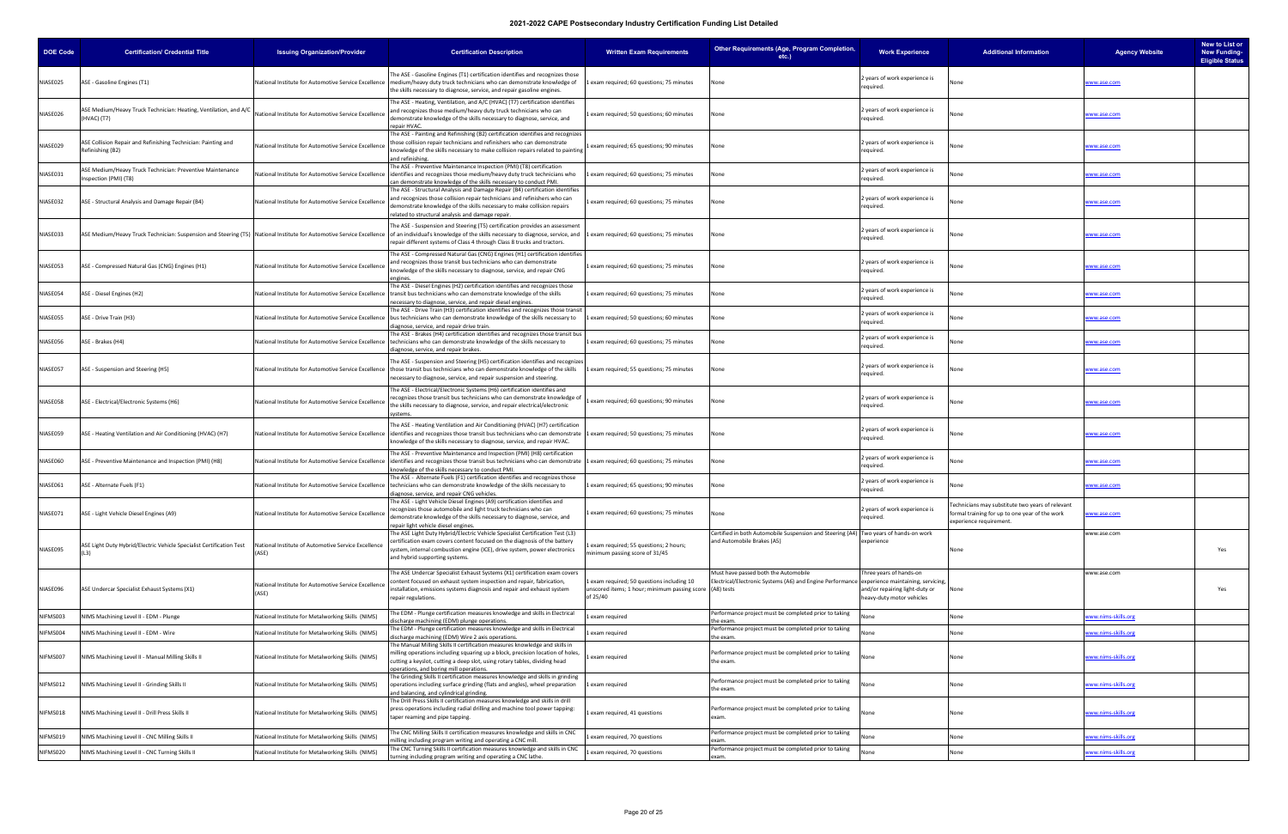| <b>DOE Code</b> | <b>Certification/ Credential Title</b>                                             | <b>Issuing Organization/Provider</b>                          | <b>Certification Description</b>                                                                                                                                                                                                                                                                                                                                                          | <b>Written Exam Requirements</b>                                                                                   | Other Requirements (Age, Program Completion,<br>etc.)                                                                               | <b>Work Experience</b>                                                                 | <b>Additional Information</b>                                                                                                 | <b>Agency Website</b> | New to List or<br><b>New Funding-</b><br><b>Eligible Status</b> |
|-----------------|------------------------------------------------------------------------------------|---------------------------------------------------------------|-------------------------------------------------------------------------------------------------------------------------------------------------------------------------------------------------------------------------------------------------------------------------------------------------------------------------------------------------------------------------------------------|--------------------------------------------------------------------------------------------------------------------|-------------------------------------------------------------------------------------------------------------------------------------|----------------------------------------------------------------------------------------|-------------------------------------------------------------------------------------------------------------------------------|-----------------------|-----------------------------------------------------------------|
| NIASE025        | ASE - Gasoline Engines (T1)                                                        |                                                               | The ASE - Gasoline Engines (T1) certification identifies and recognizes those<br>National Institute for Automotive Service Excellence   medium/heavy duty truck technicians who can demonstrate knowledge of<br>the skills necessary to diagnose, service, and repair gasoline engines.                                                                                                   | 1 exam required; 60 questions; 75 minutes                                                                          | None                                                                                                                                | 2 years of work experience is<br>required.                                             |                                                                                                                               | www.ase.com           |                                                                 |
| NIASE026        | ASE Medium/Heavy Truck Technician: Heating, Ventilation, and A/C<br>(HVAC) (T7)    | National Institute for Automotive Service Excellence          | The ASE - Heating, Ventilation, and A/C (HVAC) (T7) certification identifies<br>and recognizes those medium/heavy duty truck technicians who can<br>demonstrate knowledge of the skills necessary to diagnose, service, and<br>repair HVAC.                                                                                                                                               | exam required; 50 questions; 60 minutes                                                                            | None                                                                                                                                | 2 years of work experience is<br>required.                                             |                                                                                                                               | www.ase.com           |                                                                 |
| NIASE029        | ASE Collision Repair and Refinishing Technician: Painting and<br>Refinishing (B2)  | <b>National Institute for Automotive Service Excellence</b>   | The ASE - Painting and Refinishing (B2) certification identifies and recognizes<br>those collision repair technicians and refinishers who can demonstrate<br>knowledge of the skills necessary to make collision repairs related to painting<br>and refinishing                                                                                                                           | 1 exam required; 65 questions; 90 minutes                                                                          | None                                                                                                                                | 2 years of work experience is<br>required.                                             |                                                                                                                               | www.ase.com           |                                                                 |
| NIASE031        | ASE Medium/Heavy Truck Technician: Preventive Maintenance<br>Inspection (PMI) (T8) | National Institute for Automotive Service Excellence          | The ASE - Preventive Maintenance Inspection (PMI) (T8) certification<br>identifies and recognizes those medium/heavy duty truck technicians who<br>can demonstrate knowledge of the skills necessary to conduct PMI                                                                                                                                                                       | exam required; 60 questions; 75 minutes                                                                            | None                                                                                                                                | 2 years of work experience is<br>required.                                             | None                                                                                                                          | www.ase.com           |                                                                 |
| NIASE032        | ASE - Structural Analysis and Damage Repair (B4)                                   | National Institute for Automotive Service Excellence          | The ASE - Structural Analysis and Damage Repair (B4) certification identifies<br>and recognizes those collision repair technicians and refinishers who can<br>demonstrate knowledge of the skills necessary to make collision repairs<br>related to structural analysis and damage repair.                                                                                                | exam required; 60 questions; 75 minutes                                                                            | None                                                                                                                                | 2 years of work experience is<br>required.                                             |                                                                                                                               | www.ase.com           |                                                                 |
| NIASE033        |                                                                                    |                                                               | The ASE - Suspension and Steering (T5) certification provides an assessment<br>ASE Medium/Heavy Truck Technician: Suspension and Steering (T5) National Institute for Automotive Service Excellence lof an individual's knowledge of the skills necessary to diagnose, service, and  1 exam required; 60 ques<br>repair different systems of Class 4 through Class 8 trucks and tractors. |                                                                                                                    | None                                                                                                                                | 2 years of work experience is<br>required.                                             |                                                                                                                               | www.ase.com           |                                                                 |
| NIASE053        | ASE - Compressed Natural Gas (CNG) Engines (H1)                                    | National Institute for Automotive Service Excellence          | The ASE - Compressed Natural Gas (CNG) Engines (H1) certification identifies<br>and recognizes those transit bus technicians who can demonstrate<br>knowledge of the skills necessary to diagnose, service, and repair CNG<br>engines.                                                                                                                                                    | 1 exam required; 60 questions; 75 minutes                                                                          | None                                                                                                                                | 2 years of work experience is<br>required.                                             | None                                                                                                                          | www.ase.com           |                                                                 |
| NIASE054        | ASE - Diesel Engines (H2)                                                          |                                                               | The ASE - Diesel Engines (H2) certification identifies and recognizes those<br>National Institute for Automotive Service Excellence  transit bus technicians who can demonstrate knowledge of the skills<br>necessary to diagnose, service, and repair diesel engines.                                                                                                                    | 1 exam required; 60 questions; 75 minutes                                                                          | √one                                                                                                                                | 2 years of work experience is<br>required.                                             | lone                                                                                                                          | www.ase.com           |                                                                 |
| VIASE055        | ASE - Drive Train (H3)                                                             |                                                               | The ASE - Drive Train (H3) certification identifies and recognizes those transit<br>National Institute for Automotive Service Excellence  bus technicians who can demonstrate knowledge of the skills necessary to<br>diagnose, service, and repair drive train.                                                                                                                          | exam required; 50 questions; 60 minutes                                                                            | None                                                                                                                                | 2 years of work experience is<br>required.                                             | one                                                                                                                           | www.ase.com           |                                                                 |
| NIASE056        | ASE - Brakes (H4)                                                                  |                                                               | The ASE - Brakes (H4) certification identifies and recognizes those transit bus<br>National Institute for Automotive Service Excellence   technicians who can demonstrate knowledge of the skills necessary to<br>diagnose, service, and repair brakes.                                                                                                                                   | 1 exam required; 60 questions; 75 minutes                                                                          | None                                                                                                                                | 2 years of work experience is<br>required.                                             | None                                                                                                                          | www.ase.com           |                                                                 |
| NIASE057        | ASE - Suspension and Steering (H5)                                                 |                                                               | The ASE - Suspension and Steering (H5) certification identifies and recognizes<br>National Institute for Automotive Service Excellence   those transit bus technicians who can demonstrate knowledge of the skills<br>necessary to diagnose, service, and repair suspension and steering.                                                                                                 | exam required; 55 questions; 75 minutes                                                                            | None                                                                                                                                | 2 years of work experience is<br>required.                                             |                                                                                                                               | www.ase.com           |                                                                 |
| NIASE058        | ASE - Electrical/Electronic Systems (H6)                                           | National Institute for Automotive Service Excellence          | The ASE - Electrical/Electronic Systems (H6) certification identifies and<br>recognizes those transit bus technicians who can demonstrate knowledge o<br>the skills necessary to diagnose, service, and repair electrical/electronic<br>vstems.                                                                                                                                           | exam required; 60 questions; 90 minutes                                                                            | None                                                                                                                                | 2 years of work experience is<br>required.                                             | None                                                                                                                          | www.ase.com           |                                                                 |
| NIASE059        | ASE - Heating Ventilation and Air Conditioning (HVAC) (H7)                         | National Institute for Automotive Service Excellence          | The ASE - Heating Ventilation and Air Conditioning (HVAC) (H7) certification<br>identifies and recognizes those transit bus technicians who can demonstrate 1 exam required; 50 questions; 75 minutes<br>knowledge of the skills necessary to diagnose, service, and repair HVAC.                                                                                                         |                                                                                                                    | None                                                                                                                                | 2 years of work experience is<br>required.                                             |                                                                                                                               | www.ase.com           |                                                                 |
| NIASE060        | ASE - Preventive Maintenance and Inspection (PMI) (H8)                             |                                                               | The ASE - Preventive Maintenance and Inspection (PMI) (H8) certification<br>National Institute for Automotive Service Excellence lidentifies and recognizes those transit bus technicians who can demonstrate 1 exam required; 60 questions; 75 minutes<br>knowledge of the skills necessary to conduct PMI                                                                               |                                                                                                                    | None                                                                                                                                | 2 years of work experience is<br>required.                                             |                                                                                                                               | ww.ase.com            |                                                                 |
| NIASE061        | ASE - Alternate Fuels (F1)                                                         | National Institute for Automotive Service Excellence          | The ASE - Alternate Fuels (F1) certification identifies and recognizes those<br>technicians who can demonstrate knowledge of the skills necessary to<br>diagnose, service, and repair CNG vehicles.                                                                                                                                                                                       | 1 exam required; 65 questions; 90 minutes                                                                          | None                                                                                                                                | 2 years of work experience is<br>required.                                             |                                                                                                                               | www.ase.com           |                                                                 |
| NIASE071        | ASE - Light Vehicle Diesel Engines (A9)                                            | National Institute for Automotive Service Excellence          | The ASE - Light Vehicle Diesel Engines (A9) certification identifies and<br>recognizes those automobile and light truck technicians who can<br>demonstrate knowledge of the skills necessary to diagnose, service, and<br>repair light vehicle diesel engines.                                                                                                                            | exam required; 60 questions; 75 minutes                                                                            | None                                                                                                                                | 2 years of work experience is<br>required.                                             | Technicians may substitute two years of relevant<br>formal training for up to one year of the work<br>experience requirement. | www.ase.com           |                                                                 |
| NIASE095        | ASE Light Duty Hybrid/Electric Vehicle Specialist Certification Test               | National Institute of Automotive Service Excellence<br>(ASE)  | The ASE Light Duty Hybrid/Electric Vehicle Specialist Certification Test (L3)<br>certification exam covers content focused on the diagnosis of the battery<br>system, internal combustion engine (ICE), drive system, power electronics<br>and hybrid supporting systems.                                                                                                                 | exam required; 55 questions; 2 hours;<br>minimum passing score of 31/45                                            | Certified in both Automobile Suspension and Steering (A4) Two years of hands-on work<br>and Automobile Brakes (A5)                  | experience                                                                             | None                                                                                                                          | www.ase.com           | Yes                                                             |
| NIASE096        | ASE Undercar Specialist Exhaust Systems (X1)                                       | National Institute for Automotive Service Excellence<br>(ASE) | The ASE Undercar Specialist Exhaust Systems (X1) certification exam covers<br>content focused on exhaust system inspection and repair, fabrication,<br>installation, emissions systems diagnosis and repair and exhaust system<br>repair regulations.                                                                                                                                     | 1 exam required; 50 questions including 10<br>unscored items; 1 hour; minimum passing score (A8) tests<br>of 25/40 | Must have passed both the Automobile<br>Electrical/Electronic Systems (A6) and Engine Performance experience maintaining, servicing | Three years of hands-on<br>and/or repairing light-duty or<br>heavy-duty motor vehicles | None                                                                                                                          | www.ase.com           | Yes                                                             |
| NIFMS003        | VIMS Machining Level II - EDM - Plunge                                             | <b>National Institute for Metalworking Skills (NIMS)</b>      | The EDM - Plunge certification measures knowledge and skills in Electrical<br>discharge machining (EDM) plunge operations.                                                                                                                                                                                                                                                                | exam required                                                                                                      | Performance project must be completed prior to taking<br>the exam.                                                                  | None                                                                                   | None                                                                                                                          | ww.nims-skills.org    |                                                                 |
| NIFMS004        | NIMS Machining Level II - EDM - Wire                                               | <b>National Institute for Metalworking Skills (NIMS)</b>      | The EDM - Plunge certification measures knowledge and skills in Electrical<br>discharge machining (EDM) Wire 2 axis operations.                                                                                                                                                                                                                                                           | 1 exam required                                                                                                    | Performance project must be completed prior to taking<br>the exam.                                                                  | None                                                                                   | None                                                                                                                          | ww.nims-skills.org    |                                                                 |
| NIFMS007        | NIMS Machining Level II - Manual Milling Skills II                                 | National Institute for Metalworking Skills (NIMS)             | The Manual Milling Skills II certification measures knowledge and skills in<br>milling operations including squaring up a block, precision location of holes,<br>cutting a keyslot, cutting a deep slot, using rotary tables, dividing head<br>operations, and boring mill operations.                                                                                                    | exam required                                                                                                      | Performance project must be completed prior to taking<br>the exam.                                                                  | None                                                                                   | None                                                                                                                          | www.nims-skills.org   |                                                                 |
| NIFMS012        | NIMS Machining Level II - Grinding Skills II                                       | National Institute for Metalworking Skills (NIMS)             | The Grinding Skills II certification measures knowledge and skills in grinding<br>operations including surface grinding (flats and angles), wheel preparation<br>and balancing, and cylindrical grinding.                                                                                                                                                                                 | exam required                                                                                                      | Performance project must be completed prior to taking<br>the exam.                                                                  | None                                                                                   | None                                                                                                                          | www.nims-skills.org   |                                                                 |
| NIFMS018        | NIMS Machining Level II - Drill Press Skills II                                    | National Institute for Metalworking Skills (NIMS)             | The Drill Press Skills II certification measures knowledge and skills in drill<br>press operations including radial drilling and machine tool power tapping:<br>taper reaming and pipe tapping.                                                                                                                                                                                           | exam required, 41 questions                                                                                        | Performance project must be completed prior to taking<br>exam.                                                                      | None                                                                                   | None                                                                                                                          | www.nims-skills.org   |                                                                 |
| NIFMS019        | NIMS Machining Level II - CNC Milling Skills II                                    | <b>National Institute for Metalworking Skills (NIMS)</b>      | The CNC Milling Skills II certification measures knowledge and skills in CNC<br>milling including program writing and operating a CNC mill.                                                                                                                                                                                                                                               | exam required, 70 questions                                                                                        | Performance project must be completed prior to taking<br>exam.                                                                      | None                                                                                   | None                                                                                                                          | ww.nims-skills.org    |                                                                 |
| NIFMS020        | NIMS Machining Level II - CNC Turning Skills II                                    | National Institute for Metalworking Skills (NIMS)             | The CNC Turning Skills II certification measures knowledge and skills in CNC<br>turning including program writing and operating a CNC lathe.                                                                                                                                                                                                                                              | 1 exam required, 70 questions                                                                                      | Performance project must be completed prior to taking<br>exam.                                                                      | None                                                                                   | None                                                                                                                          | www.nims-skills.org   |                                                                 |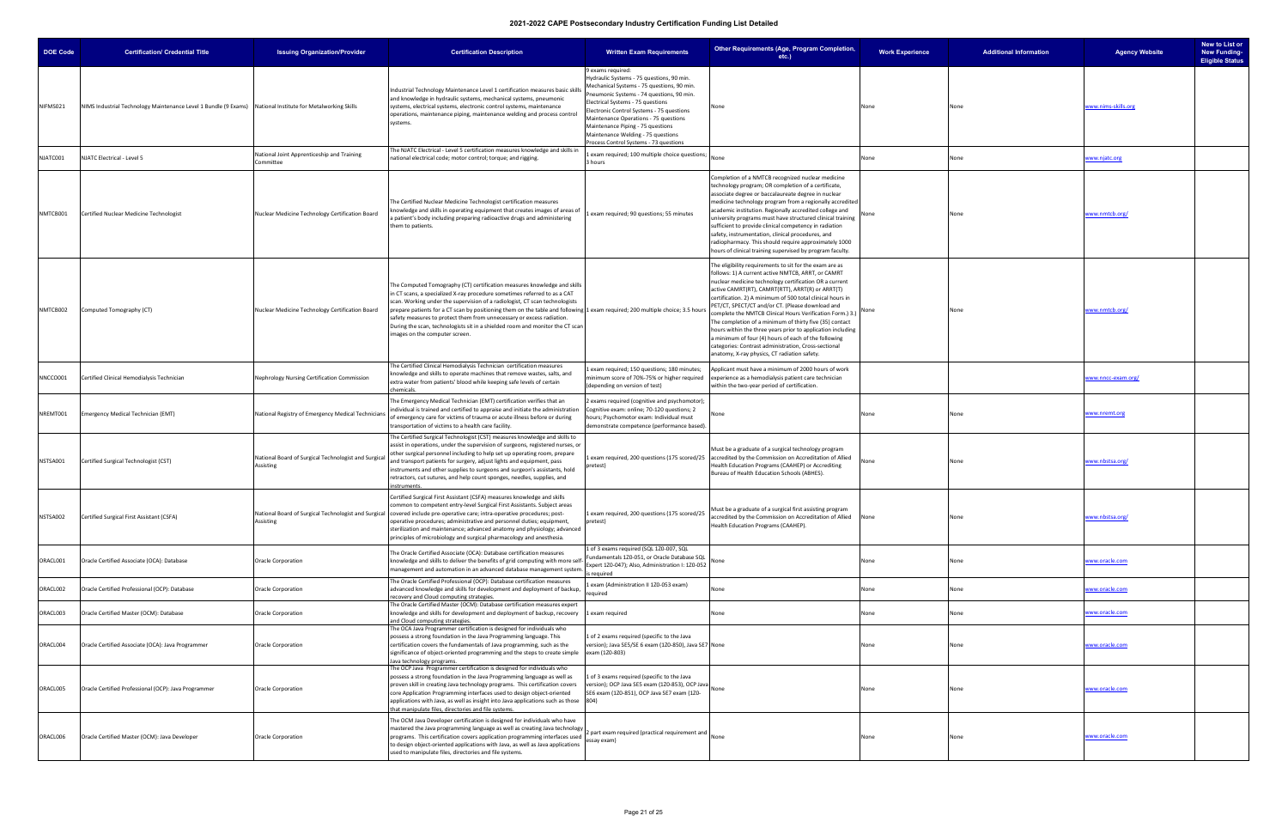| <b>DOE Code</b> | <b>Certification/ Credential Title</b>                                                                     | <b>Issuing Organization/Provider</b>                              | <b>Certification Description</b>                                                                                                                                                                                                                                                                                                                                                                                                                                                                                                                                  | <b>Written Exam Requirements</b>                                                                                                                                                                                                                                                                                                                                                                          | Other Requirements (Age, Program Completion,<br>$etc.$ )                                                                                                                                                                                                                                                                                                                                                                                                                                                                                                                                                                                                                                            | <b>Work Experience</b> | <b>Additional Information</b> | <b>Agency Website</b> | New to List or<br><b>New Funding-</b><br><b>Eligible Status</b> |
|-----------------|------------------------------------------------------------------------------------------------------------|-------------------------------------------------------------------|-------------------------------------------------------------------------------------------------------------------------------------------------------------------------------------------------------------------------------------------------------------------------------------------------------------------------------------------------------------------------------------------------------------------------------------------------------------------------------------------------------------------------------------------------------------------|-----------------------------------------------------------------------------------------------------------------------------------------------------------------------------------------------------------------------------------------------------------------------------------------------------------------------------------------------------------------------------------------------------------|-----------------------------------------------------------------------------------------------------------------------------------------------------------------------------------------------------------------------------------------------------------------------------------------------------------------------------------------------------------------------------------------------------------------------------------------------------------------------------------------------------------------------------------------------------------------------------------------------------------------------------------------------------------------------------------------------------|------------------------|-------------------------------|-----------------------|-----------------------------------------------------------------|
| NIFMS021        | NIMS Industrial Technology Maintenance Level 1 Bundle (9 Exams) National Institute for Metalworking Skills |                                                                   | Industrial Technology Maintenance Level 1 certification measures basic skill<br>and knowledge in hydraulic systems, mechanical systems, pneumonic<br>systems, electrical systems, electronic control systems, maintenance<br>operations, maintenance piping, maintenance welding and process control<br>systems.                                                                                                                                                                                                                                                  | 9 exams required:<br>Hydraulic Systems - 75 questions, 90 min.<br>Mechanical Systems - 75 questions, 90 min.<br>Pneumonic Systems - 74 questions, 90 min.<br>Electrical Systems - 75 questions<br>Electronic Control Systems - 75 questions<br>Maintenance Operations - 75 questions<br>Maintenance Piping - 75 questions<br>Maintenance Welding - 75 questions<br>Process Control Systems - 73 questions | None                                                                                                                                                                                                                                                                                                                                                                                                                                                                                                                                                                                                                                                                                                | None                   | None                          | www.nims-skills.org   |                                                                 |
| NJATC001        | NJATC Electrical - Level 5                                                                                 | <b>National Joint Apprenticeship and Training</b><br>Committee    | The NJATC Electrical - Level 5 certification measures knowledge and skills in<br>national electrical code; motor control; torque; and rigging.                                                                                                                                                                                                                                                                                                                                                                                                                    | exam required; 100 multiple choice questions<br>3 hours                                                                                                                                                                                                                                                                                                                                                   | None                                                                                                                                                                                                                                                                                                                                                                                                                                                                                                                                                                                                                                                                                                | None                   | None                          | www.njatc.org         |                                                                 |
| NMTCB001        | Certified Nuclear Medicine Technologist                                                                    | Nuclear Medicine Technology Certification Board                   | The Certified Nuclear Medicine Technologist certification measures<br>knowledge and skills in operating equipment that creates images of areas o<br>a patient's body including preparing radioactive drugs and administering<br>them to patients.                                                                                                                                                                                                                                                                                                                 | exam required; 90 questions; 55 minutes                                                                                                                                                                                                                                                                                                                                                                   | Completion of a NMTCB recognized nuclear medicine<br>technology program; OR completion of a certificate,<br>associate degree or baccalaureate degree in nuclear<br>medicine technology program from a regionally accredited<br>academic institution. Regionally accredited college and<br>university programs must have structured clinical training<br>sufficient to provide clinical competency in radiation<br>safety, instrumentation, clinical procedures, and<br>radiopharmacy. This should require approximately 1000<br>hours of clinical training supervised by program faculty.                                                                                                           | None                   | None                          | www.nmtcb.org/        |                                                                 |
| NMTCB002        | Computed Tomography (CT)                                                                                   | Nuclear Medicine Technology Certification Board                   | The Computed Tomography (CT) certification measures knowledge and skills<br>in CT scans, a specialized X-ray procedure sometimes referred to as a CAT<br>scan. Working under the supervision of a radiologist, CT scan technologists<br>prepare patients for a CT scan by positioning them on the table and following 1 exam required; 200 multiple choice; 3.5 hours<br>safety measures to protect them from unnecessary or excess radiation.<br>During the scan, technologists sit in a shielded room and monitor the CT scan<br>images on the computer screen. |                                                                                                                                                                                                                                                                                                                                                                                                           | The eligibility requirements to sit for the exam are as<br>follows: 1) A current active NMTCB, ARRT, or CAMRT<br>nuclear medicine technology certification OR a current<br>active CAMRT(RT), CAMRT(RTT), ARRT(R) or ARRT(T)<br>certification. 2) A minimum of 500 total clinical hours in<br>PET/CT, SPECT/CT and/or CT. (Please download and<br>omplete the NMTCB Clinical Hours Verification Form.) 3.)<br>The completion of a minimum of thirty five (35) contact<br>hours within the three years prior to application including<br>a minimum of four (4) hours of each of the following<br>categories: Contrast administration, Cross-sectional<br>anatomy, X-ray physics, CT radiation safety. |                        | None                          | www.nmtcb.org/        |                                                                 |
| NNCCO001        | Certified Clinical Hemodialysis Technician                                                                 | Nephrology Nursing Certification Commission                       | The Certified Clinical Hemodialysis Technician certification measures<br>knowledge and skills to operate machines that remove wastes, salts, and<br>extra water from patients' blood while keeping safe levels of certain<br>chemicals.                                                                                                                                                                                                                                                                                                                           | exam required; 150 questions; 180 minutes;<br>minimum score of 70%-75% or higher required<br>(depending on version of test)                                                                                                                                                                                                                                                                               | Applicant must have a minimum of 2000 hours of work<br>experience as a hemodialysis patient care technician<br>within the two-year period of certification.                                                                                                                                                                                                                                                                                                                                                                                                                                                                                                                                         |                        |                               | www.nncc-exam.org/    |                                                                 |
| NREMT001        | Emergency Medical Technician (EMT)                                                                         | National Registry of Emergency Medical Technicians                | The Emergency Medical Technician (EMT) certification verifies that an<br>individual is trained and certified to appraise and initiate the administration<br>of emergency care for victims of trauma or acute illness before or during<br>transportation of victims to a health care facility.                                                                                                                                                                                                                                                                     | ! exams required (cognitive and psychomotor);<br>Cognitive exam: online; 70-120 questions; 2<br>hours; Psychomotor exam: Individual must<br>demonstrate competence (performance based).                                                                                                                                                                                                                   | lone                                                                                                                                                                                                                                                                                                                                                                                                                                                                                                                                                                                                                                                                                                | None                   | None                          | www.nremt.org         |                                                                 |
| NSTSA001        | Certified Surgical Technologist (CST)                                                                      | National Board of Surgical Technologist and Surgical<br>Assisting | The Certified Surgical Technologist (CST) measures knowledge and skills to<br>assist in operations, under the supervision of surgeons, registered nurses, or<br>other surgical personnel including to help set up operating room, prepare<br>and transport patients for surgery, adjust lights and equipment, pass<br>instruments and other supplies to surgeons and surgeon's assistants, hold<br>retractors, cut sutures, and help count sponges, needles, supplies, and<br>instruments.                                                                        | pretest)                                                                                                                                                                                                                                                                                                                                                                                                  | Must be a graduate of a surgical technology program<br>L exam required, 200 questions (175 scored/25 accredited by the Commission on Accreditation of Allied<br>Health Education Programs (CAAHEP) or Accrediting<br>Bureau of Health Education Schools (ABHES).                                                                                                                                                                                                                                                                                                                                                                                                                                    | None                   | None                          | www.nbstsa.org/       |                                                                 |
| NSTSA002        | Certified Surgical First Assistant (CSFA)                                                                  | Assisting                                                         | Certified Surgical First Assistant (CSFA) measures knowledge and skills<br>common to competent entry-level Surgical First Assistants. Subject areas<br>National Board of Surgical Technologist and Surgical covered include pre-operative care; intra-operative procedures; post-<br>operative procedures; administrative and personnel duties; equipment,<br>sterilization and maintenance; advanced anatomy and physiology; advanced<br>principles of microbiology and surgical pharmacology and anesthesia.                                                    | 1 exam required, 200 questions (175 scored/25<br>pretest)                                                                                                                                                                                                                                                                                                                                                 | Must be a graduate of a surgical first assisting program<br>accredited by the Commission on Accreditation of Allied<br>Health Education Programs (CAAHEP).                                                                                                                                                                                                                                                                                                                                                                                                                                                                                                                                          | None                   | None                          | www.nbstsa.org/       |                                                                 |
| ORACL001        | Oracle Certified Associate (OCA): Database                                                                 | Oracle Corporation                                                | The Oracle Certified Associate (OCA): Database certification measures<br>knowledge and skills to deliver the benefits of grid computing with more self<br>management and automation in an advanced database management system.                                                                                                                                                                                                                                                                                                                                    | 1 of 3 exams required (SQL 1Z0-007, SQL<br>Fundamentals 1Z0-051, or Oracle Database SQL<br>Expert 1Z0-047); Also, Administration I: 1Z0-052<br>s required                                                                                                                                                                                                                                                 | √one                                                                                                                                                                                                                                                                                                                                                                                                                                                                                                                                                                                                                                                                                                | None                   | None                          | www.oracle.com        |                                                                 |
| ORACL002        | Oracle Certified Professional (OCP): Database                                                              | Oracle Corporation                                                | The Oracle Certified Professional (OCP): Database certification measures<br>advanced knowledge and skills for development and deployment of backup,<br>recovery and Cloud computing strategies.                                                                                                                                                                                                                                                                                                                                                                   | exam (Administration II 1Z0-053 exam)<br>required                                                                                                                                                                                                                                                                                                                                                         | Vone                                                                                                                                                                                                                                                                                                                                                                                                                                                                                                                                                                                                                                                                                                | None                   | None                          | www.oracle.com        |                                                                 |
| ORACL003        | Oracle Certified Master (OCM): Database                                                                    | <b>Oracle Corporation</b>                                         | The Oracle Certified Master (OCM): Database certification measures expert<br>knowledge and skills for development and deployment of backup, recovery<br>and Cloud computing strategies.                                                                                                                                                                                                                                                                                                                                                                           | 1 exam required                                                                                                                                                                                                                                                                                                                                                                                           | None                                                                                                                                                                                                                                                                                                                                                                                                                                                                                                                                                                                                                                                                                                | None                   | None                          | www.oracle.com        |                                                                 |
| ORACL004        | Oracle Certified Associate (OCA): Java Programmer                                                          | Oracle Corporation                                                | The OCA Java Programmer certification is designed for individuals who<br>possess a strong foundation in the Java Programming language. This<br>certification covers the fundamentals of Java programming, such as the<br>significance of object-oriented programming and the steps to create simple<br>Java technology programs.                                                                                                                                                                                                                                  | 1 of 2 exams required (specific to the Java<br>version); Java SE5/SE 6 exam (1Z0-850), Java SE7 None<br>exam (1Z0-803)                                                                                                                                                                                                                                                                                    |                                                                                                                                                                                                                                                                                                                                                                                                                                                                                                                                                                                                                                                                                                     | None                   | None                          | www.oracle.com        |                                                                 |
| ORACL005        | Oracle Certified Professional (OCP): Java Programmer                                                       | <b>Oracle Corporation</b>                                         | The OCP Java Programmer certification is designed for individuals who<br>possess a strong foundation in the Java Programming language as well as<br>proven skill in creating Java technology programs. This certification covers<br>core Application Programming interfaces used to design object-oriented<br>applications with Java, as well as insight into Java applications such as those 804)<br>that manipulate files, directories and file systems.                                                                                                        | 1 of 3 exams required (specific to the Java<br>version); OCP Java SE5 exam (120-853), OCP Java<br>SE6 exam (1Z0-851), OCP Java SE7 exam (1Z0-                                                                                                                                                                                                                                                             |                                                                                                                                                                                                                                                                                                                                                                                                                                                                                                                                                                                                                                                                                                     | None                   | None                          | www.oracle.com        |                                                                 |
| ORACL006        | Oracle Certified Master (OCM): Java Developer                                                              | <b>Oracle Corporation</b>                                         | The OCM Java Developer certification is designed for individuals who have<br>mastered the Java programming language as well as creating Java technology<br>programs. This certification covers application programming interfaces used<br>to design object-oriented applications with Java, as well as Java applications<br>used to manipulate files, directories and file systems.                                                                                                                                                                               | 2 part exam required (practical requirement and<br>essay exam)                                                                                                                                                                                                                                                                                                                                            |                                                                                                                                                                                                                                                                                                                                                                                                                                                                                                                                                                                                                                                                                                     | None                   | None                          | www.oracle.com        |                                                                 |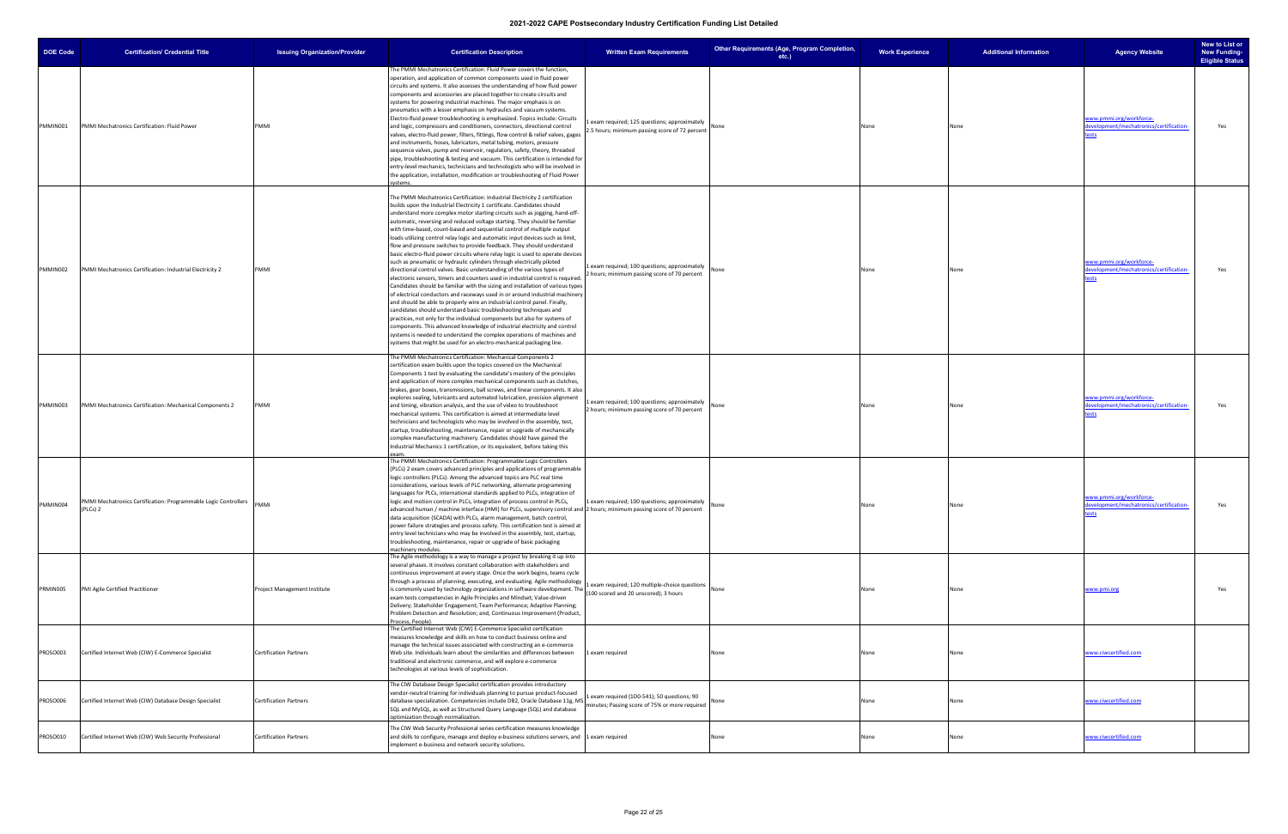| <b>DOE Code</b> | <b>Certification/ Credential Title</b>                                     | <b>Issuing Organization/Provider</b> | <b>Certification Description</b>                                                                                                                                                                                                                                                                                                                                                                                                                                                                                                                                                                                                                                                                                                                                                                                                                                                                                                                                                                                                                                                                                                                                                                                                                                                                                                                                                                                                                                                                                    | <b>Written Exam Requirements</b>                                                              |      | Other Requirements (Age, Program Completion,<br>$etc.$ ) | <b>Work Experience</b> | <b>Additional Information</b> | <b>Agency Website</b>                                                    | New to List or<br><b>New Funding-</b><br><b>Eligible Status</b> |
|-----------------|----------------------------------------------------------------------------|--------------------------------------|---------------------------------------------------------------------------------------------------------------------------------------------------------------------------------------------------------------------------------------------------------------------------------------------------------------------------------------------------------------------------------------------------------------------------------------------------------------------------------------------------------------------------------------------------------------------------------------------------------------------------------------------------------------------------------------------------------------------------------------------------------------------------------------------------------------------------------------------------------------------------------------------------------------------------------------------------------------------------------------------------------------------------------------------------------------------------------------------------------------------------------------------------------------------------------------------------------------------------------------------------------------------------------------------------------------------------------------------------------------------------------------------------------------------------------------------------------------------------------------------------------------------|-----------------------------------------------------------------------------------------------|------|----------------------------------------------------------|------------------------|-------------------------------|--------------------------------------------------------------------------|-----------------------------------------------------------------|
| PMMIN001        | PMMI Mechatronics Certification: Fluid Power                               | PMMI                                 | The PMMI Mechatronics Certification: Fluid Power covers the function,<br>operation, and application of common components used in fluid power<br>circuits and systems. It also assesses the understanding of how fluid power<br>components and accessories are placed together to create circuits and<br>systems for powering industrial machines. The major emphasis is on<br>pneumatics with a lesser emphasis on hydraulics and vacuum systems.<br>Electro-fluid power troubleshooting is emphasized. Topics include: Circuits<br>and logic, compressors and conditioners, connectors, directional control<br>valves, electro-fluid power, filters, fittings, flow control & relief valves, gages<br>and instruments, hoses, lubricators, metal tubing, motors, pressure<br>sequence valves, pump and reservoir, regulators, safety, theory, threaded<br>pipe, troubleshooting & testing and vacuum. This certification is intended for<br>entry-level mechanics, technicians and technologists who will be involved in<br>the application, installation, modification or troubleshooting of Fluid Power<br>systems.                                                                                                                                                                                                                                                                                                                                                                                              | exam required; 125 questions; approximately<br>2.5 hours; minimum passing score of 72 percent | None |                                                          | None                   | None                          | vww.pmmi.org/workforce-<br>levelopment/mechatronics/certification-       | Yes                                                             |
| PMMIN002        | PMMI Mechatronics Certification: Industrial Electricity 2                  | PMMI                                 | The PMMI Mechatronics Certification: Industrial Electricity 2 certification<br>builds upon the Industrial Electricity 1 certificate. Candidates should<br>understand more complex motor starting circuits such as jogging, hand-off-<br>automatic, reversing and reduced voltage starting. They should be familiar<br>with time-based, count-based and sequential control of multiple output<br>loads utilizing control relay logic and automatic input devices such as limit,<br>flow and pressure switches to provide feedback. They should understand<br>basic electro-fluid power circuits where relay logic is used to operate devices<br>such as pneumatic or hydraulic cylinders through electrically piloted<br>directional control valves. Basic understanding of the various types of<br>electronic sensors, timers and counters used in industrial control is required.<br>Candidates should be familiar with the sizing and installation of various types<br>of electrical conductors and raceways used in or around industrial machinery<br>and should be able to properly wire an industrial control panel. Finally,<br>candidates should understand basic troubleshooting techniques and<br>practices, not only for the individual components but also for systems of<br>components. This advanced knowledge of industrial electricity and control<br>systems is needed to understand the complex operations of machines and<br>systems that might be used for an electro-mechanical packaging line. | 1 exam required; 100 questions; approximately<br>2 hours; minimum passing score of 70 percent | None |                                                          | None                   | None                          | www.pmmi.org/workforce-<br>evelopment/mechatronics/certification-        | Yes                                                             |
| PMMIN003        | PMMI Mechatronics Certification: Mechanical Components 2                   | PMMI                                 | The PMMI Mechatronics Certification: Mechanical Components 2<br>certification exam builds upon the topics covered on the Mechanical<br>Components 1 test by evaluating the candidate's mastery of the principles<br>and application of more complex mechanical components such as clutches,<br>brakes, gear boxes, transmissions, ball screws, and linear components. It also<br>explores sealing, lubricants and automated lubrication, precision alignment<br>and timing, vibration analysis, and the use of video to troubleshoot<br>mechanical systems. This certification is aimed at intermediate level<br>technicians and technologists who may be involved in the assembly, test,<br>startup, troubleshooting, maintenance, repair or upgrade of mechanically<br>complex manufacturing machinery. Candidates should have gained the<br>Industrial Mechanics 1 certification, or its equivalent, before taking this                                                                                                                                                                                                                                                                                                                                                                                                                                                                                                                                                                                          | Lexam required; 100 questions; approximately<br>2 hours; minimum passing score of 70 percent  | None |                                                          | None                   | None                          | <u>www.pmmi.org/workforce-</u><br>evelopment/mechatronics/certification- | Yes                                                             |
| PMMIN004        | PMMI Mechatronics Certification: Programmable Logic Controllers<br>PLCs) 2 | PMMI                                 | The PMMI Mechatronics Certification: Programmable Logic Controllers<br>(PLCs) 2 exam covers advanced principles and applications of programmable<br>logic controllers (PLCs). Among the advanced topics are PLC real time<br>considerations, various levels of PLC networking, alternate programming<br>languages for PLCs, international standards applied to PLCs, integration of<br>logic and motion control in PLCs, integration of process control in PLCs,<br>advanced human / machine interface (HMI) for PLCs, supervisory control and 2 hours; minimum passing score of 70 percent<br>data acquisition (SCADA) with PLCs, alarm management, batch control,<br>power failure strategies and process safety. This certification test is aimed at<br>entry level technicians who may be involved in the assembly, test, startup,<br>troubleshooting, maintenance, repair or upgrade of basic packaging<br>machinery modules.                                                                                                                                                                                                                                                                                                                                                                                                                                                                                                                                                                                  | 1 exam required; 100 questions; approximately                                                 | None |                                                          | None                   | None                          | www.pmmi.org/workforce-<br>development/mechatronics/certification-       | Yes                                                             |
| PRMIN005        | PMI Agile Certified Practitioner                                           | Project Management Institute         | The Agile methodology is a way to manage a project by breaking it up into<br>several phases. It involves constant collaboration with stakeholders and<br>continuous improvement at every stage. Once the work begins, teams cycle<br>through a process of planning, executing, and evaluating. Agile methodology<br>is commonly used by technology organizations in software development. The<br>exam tests competencies in Agile Principles and Mindset; Value-driven<br>Delivery; Stakeholder Engagement; Team Performance; Adaptive Planning;<br>Problem Detection and Resolution; and, Continuous Improvement (Product,<br>Process, People).                                                                                                                                                                                                                                                                                                                                                                                                                                                                                                                                                                                                                                                                                                                                                                                                                                                                    | Lexam required; 120 multiple-choice questions<br>(100 scored and 20 unscored); 3 hours        | None |                                                          | None                   | None                          | www.pmi.org                                                              | Yes                                                             |
| PROSO003        | Certified Internet Web (CIW) E-Commerce Specialist                         | <b>Certification Partners</b>        | The Certified Internet Web (CIW) E-Commerce Specialist certification<br>measures knowledge and skills on how to conduct business online and<br>manage the technical issues associated with constructing an e-commerce<br>Web site. Individuals learn about the similarities and differences between<br>traditional and electronic commerce, and will explore e-commerce<br>technologies at various levels of sophistication.                                                                                                                                                                                                                                                                                                                                                                                                                                                                                                                                                                                                                                                                                                                                                                                                                                                                                                                                                                                                                                                                                        | 1 exam required                                                                               | None |                                                          | None                   | None                          | www.ciwcertified.com                                                     |                                                                 |
| PROSO006        | Certified Internet Web (CIW) Database Design Specialist                    | <b>Certification Partners</b>        | The CIW Database Design Specialist certification provides introductory<br>vendor-neutral training for individuals planning to pursue product-focused<br>database specialization. Competencies include DB2, Oracle Database 11g, MS<br>SQL and MySQL, as well as Structured Query Language (SQL) and database<br>optimization through normalization.                                                                                                                                                                                                                                                                                                                                                                                                                                                                                                                                                                                                                                                                                                                                                                                                                                                                                                                                                                                                                                                                                                                                                                 | exam required (1D0-541); 50 questions; 90<br>ninutes; Passing score of 75% or more required   | None |                                                          | None                   | None                          | www.ciwcertified.com                                                     |                                                                 |
| PROSO010        | Certified Internet Web (CIW) Web Security Professional                     | <b>Certification Partners</b>        | The CIW Web Security Professional series certification measures knowledge<br>and skills to configure, manage and deploy e-business solutions servers, and 1 exam required<br>implement e-business and network security solutions.                                                                                                                                                                                                                                                                                                                                                                                                                                                                                                                                                                                                                                                                                                                                                                                                                                                                                                                                                                                                                                                                                                                                                                                                                                                                                   |                                                                                               | None |                                                          | None                   |                               | www.ciwcertified.com                                                     |                                                                 |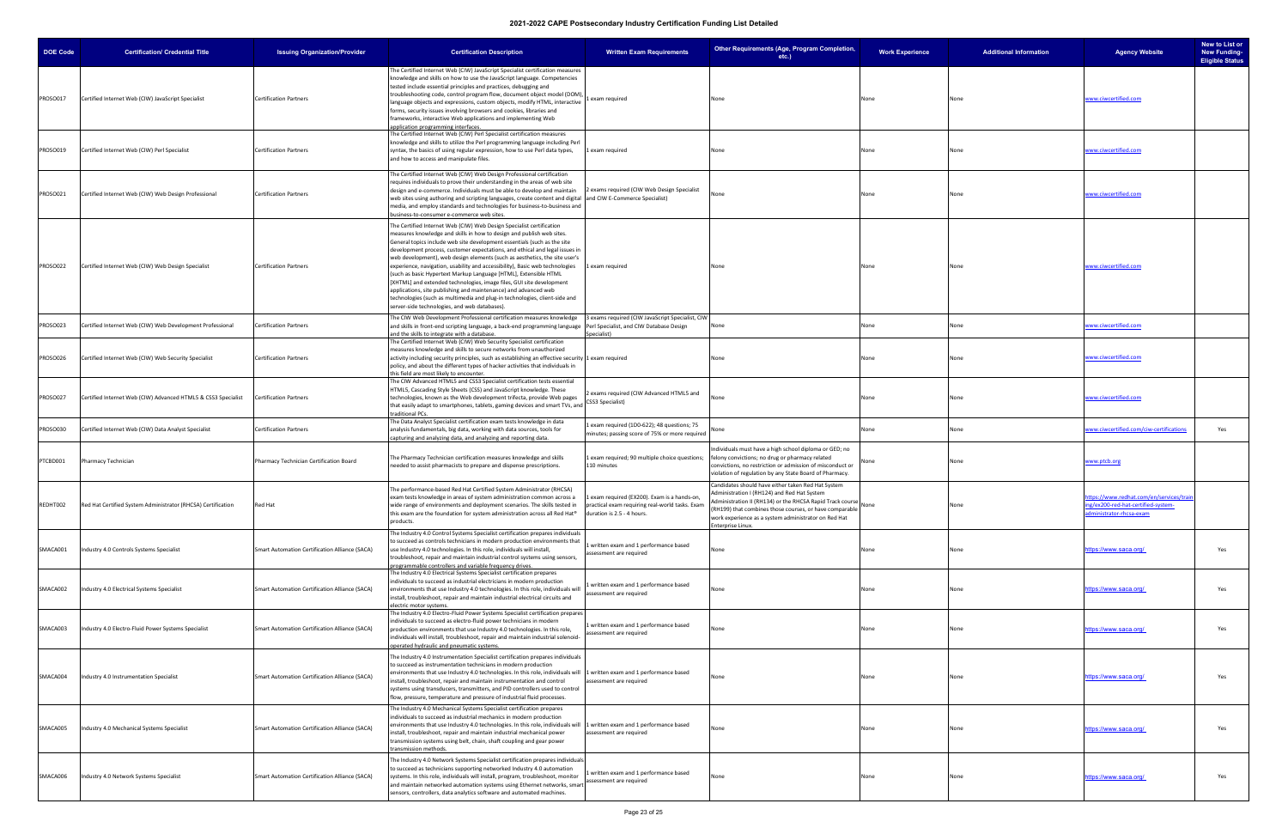| <b>DOE Code</b> | <b>Certification/ Credential Title</b>                        | <b>Issuing Organization/Provider</b>                  | <b>Certification Description</b>                                                                                                                                                                                                                                                                                                                                                                                                                                                                                                                                                                                                                                                                                                                                                                                     | <b>Written Exam Requirements</b>                                                                | Other Requirements (Age, Program Completion,<br>etc.)                                                                                                                                                                                                                                                  | <b>Work Experience</b> | <b>Additional Information</b> | <b>Agency Website</b>                                                                                            | New to List or<br><b>New Funding-</b><br><b>Eligible Status</b> |
|-----------------|---------------------------------------------------------------|-------------------------------------------------------|----------------------------------------------------------------------------------------------------------------------------------------------------------------------------------------------------------------------------------------------------------------------------------------------------------------------------------------------------------------------------------------------------------------------------------------------------------------------------------------------------------------------------------------------------------------------------------------------------------------------------------------------------------------------------------------------------------------------------------------------------------------------------------------------------------------------|-------------------------------------------------------------------------------------------------|--------------------------------------------------------------------------------------------------------------------------------------------------------------------------------------------------------------------------------------------------------------------------------------------------------|------------------------|-------------------------------|------------------------------------------------------------------------------------------------------------------|-----------------------------------------------------------------|
| PROSO017        | Certified Internet Web (CIW) JavaScript Specialist            | <b>Certification Partners</b>                         | The Certified Internet Web (CIW) JavaScript Specialist certification measures<br>knowledge and skills on how to use the JavaScript language. Competencies<br>tested include essential principles and practices, debugging and<br>troubleshooting code, control program flow, document object model (DOM),<br>language objects and expressions, custom objects, modify HTML, interactive<br>forms, security issues involving browsers and cookies, libraries and<br>frameworks, interactive Web applications and implementing Web<br>application programming interfaces.                                                                                                                                                                                                                                              | exam required                                                                                   | None                                                                                                                                                                                                                                                                                                   | None                   | None                          | www.ciwcertified.com                                                                                             |                                                                 |
| PROSO019        | Certified Internet Web (CIW) Perl Specialist                  | <b>Certification Partners</b>                         | The Certified Internet Web (CIW) Perl Specialist certification measures<br>knowledge and skills to utilize the Perl programming language including Perl<br>syntax, the basics of using regular expression, how to use Perl data types,<br>and how to access and manipulate files.                                                                                                                                                                                                                                                                                                                                                                                                                                                                                                                                    | 1 exam required                                                                                 | None                                                                                                                                                                                                                                                                                                   | None                   | None                          | www.ciwcertified.com                                                                                             |                                                                 |
| PROSO021        | Certified Internet Web (CIW) Web Design Professional          | <b>Certification Partners</b>                         | The Certified Internet Web (CIW) Web Design Professional certification<br>requires individuals to prove their understanding in the areas of web site<br>design and e-commerce. Individuals must be able to develop and maintain<br>web sites using authoring and scripting languages, create content and digital and CIW E-Commerce Specialist)<br>media, and employ standards and technologies for business-to-business and<br>business-to-consumer e-commerce web sites.                                                                                                                                                                                                                                                                                                                                           | 2 exams required (CIW Web Design Specialist                                                     | None                                                                                                                                                                                                                                                                                                   | None                   | None                          | www.ciwcertified.com                                                                                             |                                                                 |
| PROSO022        | Certified Internet Web (CIW) Web Design Specialist            | <b>Certification Partners</b>                         | The Certified Internet Web (CIW) Web Design Specialist certification<br>measures knowledge and skills in how to design and publish web sites.<br>General topics include web site development essentials (such as the site<br>development process, customer expectations, and ethical and legal issues in<br>web development), web design elements (such as aesthetics, the site user's<br>experience, navigation, usability and accessibility), Basic web technologies<br>(such as basic Hypertext Markup Language [HTML], Extensible HTML<br>[XHTML] and extended technologies, image files, GUI site development<br>applications, site publishing and maintenance) and advanced web<br>technologies (such as multimedia and plug-in technologies, client-side and<br>server-side technologies, and web databases). | 1 exam required                                                                                 | None                                                                                                                                                                                                                                                                                                   | None                   | None                          | www.ciwcertified.com                                                                                             |                                                                 |
| <b>PROSO023</b> | Certified Internet Web (CIW) Web Development Professional     | <b>Certification Partners</b>                         | The CIW Web Development Professional certification measures knowledge<br>and skills in front-end scripting language, a back-end programming language Perl Specialist, and CIW Database Design<br>and the skills to integrate with a database.                                                                                                                                                                                                                                                                                                                                                                                                                                                                                                                                                                        | 3 exams required (CIW JavaScript Specialist, CIW<br>Specialist)                                 | None                                                                                                                                                                                                                                                                                                   | None                   | None                          | vww.ciwcertified.com                                                                                             |                                                                 |
| PROSO026        | Certified Internet Web (CIW) Web Security Specialist          | <b>Certification Partners</b>                         | The Certified Internet Web (CIW) Web Security Specialist certification<br>measures knowledge and skills to secure networks from unauthorized<br>activity including security principles, such as establishing an effective security 1 exam required<br>policy, and about the different types of hacker activities that individuals in<br>this field are most likely to encounter.                                                                                                                                                                                                                                                                                                                                                                                                                                     |                                                                                                 | None                                                                                                                                                                                                                                                                                                   | None                   | None                          | www.ciwcertified.com                                                                                             |                                                                 |
| PROSO027        | Certified Internet Web (CIW) Advanced HTML5 & CSS3 Specialist | <b>Certification Partners</b>                         | The CIW Advanced HTML5 and CSS3 Specialist certification tests essential<br>HTML5, Cascading Style Sheets (CSS) and JavaScript knowledge. These<br>technologies, known as the Web development trifecta, provide Web pages<br>that easily adapt to smartphones, tablets, gaming devices and smart TVs, and<br>traditional PCs.                                                                                                                                                                                                                                                                                                                                                                                                                                                                                        | exams required (CIW Advanced HTML5 and<br>CSS3 Specialist)                                      | None                                                                                                                                                                                                                                                                                                   | None                   | None                          | www.ciwcertified.com                                                                                             |                                                                 |
| PROSO030        | Certified Internet Web (CIW) Data Analyst Specialist          | <b>Certification Partners</b>                         | The Data Analyst Specialist certification exam tests knowledge in data<br>analysis fundamentals, big data, working with data sources, tools for<br>capturing and analyzing data, and analyzing and reporting data.                                                                                                                                                                                                                                                                                                                                                                                                                                                                                                                                                                                                   | 1 exam required (1D0-622); 48 questions; 75<br>minutes; passing score of 75% or more required   | √one                                                                                                                                                                                                                                                                                                   | None                   | None                          | <u>vww.ciwcertified.com/ciw-certifications</u>                                                                   | Yes                                                             |
| PTCBD001        | Pharmacy Technician                                           | Pharmacy Technician Certification Board               | The Pharmacy Technician certification measures knowledge and skills<br>needed to assist pharmacists to prepare and dispense prescriptions.                                                                                                                                                                                                                                                                                                                                                                                                                                                                                                                                                                                                                                                                           | 1 exam required; 90 multiple choice questions;<br>110 minutes                                   | Individuals must have a high school diploma or GED; no<br>felony convictions; no drug or pharmacy related<br>convictions, no restriction or admission of misconduct or<br>violation of regulation by any State Board of Pharmacy.                                                                      |                        | None                          | <u>vww.ptcb.org</u>                                                                                              |                                                                 |
| REDHT002        | Red Hat Certified System Administrator (RHCSA) Certification  | Red Hat                                               | The performance-based Red Hat Certified System Administrator (RHCSA)<br>exam tests knowledge in areas of system administration common across a<br>wide range of environments and deployment scenarios. The skills tested in<br>this exam are the foundation for system administration across all Red Hat <sup>®</sup> duration is 2.5 - 4 hours.<br>products.                                                                                                                                                                                                                                                                                                                                                                                                                                                        | 1 exam required (EX200). Exam is a hands-on,<br>practical exam requiring real-world tasks. Exam | Candidates should have either taken Red Hat System<br>Administration I (RH124) and Red Hat System<br>Administration II (RH134) or the RHCSA Rapid Track course<br>(RH199) that combines those courses, or have comparable<br>work experience as a system administrator on Red Hat<br>Interprise Linux. | None                   | None                          | ttps://www.redhat.com/en/services/train<br>ng/ex200-red-hat-certified-system-<br><u>administrator-rhcsa-exam</u> |                                                                 |
| SMACA001        | ndustry 4.0 Controls Systems Specialist                       | Smart Automation Certification Alliance (SACA)        | The Industry 4.0 Control Systems Specialist certification prepares individuals<br>to succeed as controls technicians in modern production environments that<br>use Industry 4.0 technologies. In this role, individuals will install,<br>troubleshoot, repair and maintain industrial control systems using sensors,<br>programmable controllers and variable frequency drives.                                                                                                                                                                                                                                                                                                                                                                                                                                      | 1 written exam and 1 performance based<br>assessment are required                               | None                                                                                                                                                                                                                                                                                                   | None                   | None                          | ittps://www.saca.org/                                                                                            | Yes                                                             |
| SMACA002        | Industry 4.0 Electrical Systems Specialist                    | Smart Automation Certification Alliance (SACA)        | The Industry 4.0 Electrical Systems Specialist certification prepares<br>individuals to succeed as industrial electricians in modern production<br>environments that use Industry 4.0 technologies. In this role, individuals will<br>install, troubleshoot, repair and maintain industrial electrical circuits and<br>electric motor systems.                                                                                                                                                                                                                                                                                                                                                                                                                                                                       | written exam and 1 performance based<br>assessment are required                                 | √one                                                                                                                                                                                                                                                                                                   | None                   | None                          | ittps://www.saca.org/                                                                                            | Yes                                                             |
| SMACA003        | ndustry 4.0 Electro-Fluid Power Systems Specialist            | Smart Automation Certification Alliance (SACA)        | The Industry 4.0 Electro-Fluid Power Systems Specialist certification prepares<br>individuals to succeed as electro-fluid power technicians in modern<br>production environments that use Industry 4.0 technologies. In this role,<br>individuals will install, troubleshoot, repair and maintain industrial solenoid-<br>operated hydraulic and pneumatic systems.                                                                                                                                                                                                                                                                                                                                                                                                                                                  | 1 written exam and 1 performance based<br>ssessment are required                                | None                                                                                                                                                                                                                                                                                                   | None                   | None                          | ittps://www.saca.org/                                                                                            | Yes                                                             |
| SMACA004        | Industry 4.0 Instrumentation Specialist                       | Smart Automation Certification Alliance (SACA)        | The Industry 4.0 Instrumentation Specialist certification prepares individuals<br>to succeed as instrumentation technicians in modern production<br>environments that use Industry 4.0 technologies. In this role, individuals will 1 written exam and 1 performance based<br>install, troubleshoot, repair and maintain instrumentation and control<br>systems using transducers, transmitters, and PID controllers used to control<br>flow, pressure, temperature and pressure of industrial fluid processes.                                                                                                                                                                                                                                                                                                      | assessment are required                                                                         | None                                                                                                                                                                                                                                                                                                   | None                   | None                          | <u>nttps://www.saca.org/</u>                                                                                     | Yes                                                             |
| SMACA005        | Industry 4.0 Mechanical Systems Specialist                    | <b>Smart Automation Certification Alliance (SACA)</b> | The Industry 4.0 Mechanical Systems Specialist certification prepares<br>individuals to succeed as industrial mechanics in modern production<br>environments that use Industry 4.0 technologies. In this role, individuals will<br>install, troubleshoot, repair and maintain industrial mechanical power<br>transmission systems using belt, chain, shaft coupling and gear power<br>transmission methods.                                                                                                                                                                                                                                                                                                                                                                                                          | 1 written exam and 1 performance based<br>assessment are required                               | None                                                                                                                                                                                                                                                                                                   | None                   | None                          | https://www.saca.org/                                                                                            | Yes                                                             |
| SMACA006        | Industry 4.0 Network Systems Specialist                       | Smart Automation Certification Alliance (SACA)        | The Industry 4.0 Network Systems Specialist certification prepares individuals<br>to succeed as technicians supporting networked Industry 4.0 automation<br>systems. In this role, individuals will install, program, troubleshoot, monitor<br>and maintain networked automation systems using Ethernet networks, smart<br>sensors, controllers, data analytics software and automated machines.                                                                                                                                                                                                                                                                                                                                                                                                                     | written exam and 1 performance based<br>assessment are required                                 | None                                                                                                                                                                                                                                                                                                   | None                   | None                          | https://www.saca.org/                                                                                            | Yes                                                             |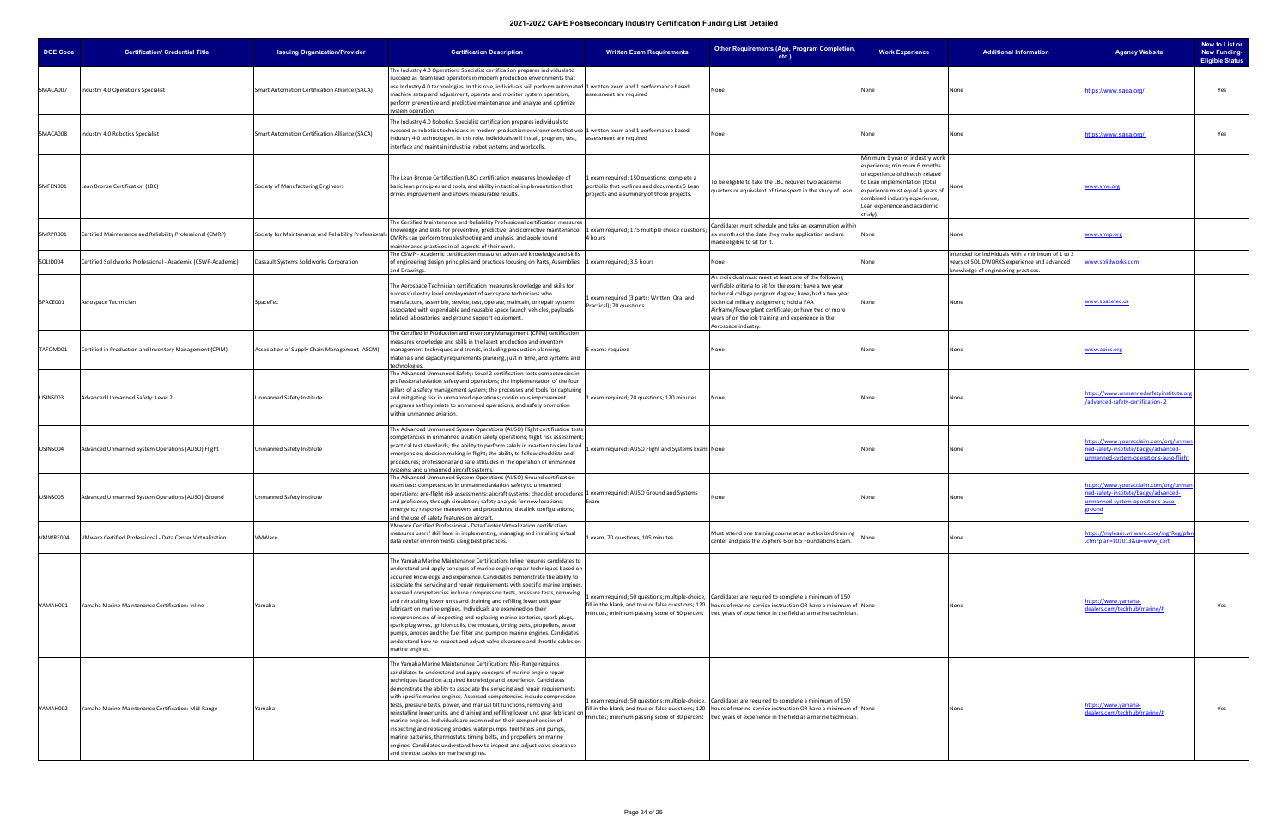| <b>DOE Code</b> | <b>Certification/ Credential Title</b>                       | <b>Issuing Organization/Provider</b>                  | <b>Certification Description</b>                                                                                                                                                                                                                                                                                                                                                                                                                                                                                                                                                                                                                                                                                                                                                                                                                                                           | <b>Written Exam Requirements</b>                                                                                                      | Other Requirements (Age, Program Completion,<br>$etc.$ )                                                                                                                                                                                                                                                                                                    | <b>Work Experience</b>                                                                                                                                                                                                                                | <b>Additional Information</b>                                                                                                           | <b>Agency Website</b>                                                                                                       | New to List or<br><b>New Funding-</b><br><b>Eligible Status</b> |
|-----------------|--------------------------------------------------------------|-------------------------------------------------------|--------------------------------------------------------------------------------------------------------------------------------------------------------------------------------------------------------------------------------------------------------------------------------------------------------------------------------------------------------------------------------------------------------------------------------------------------------------------------------------------------------------------------------------------------------------------------------------------------------------------------------------------------------------------------------------------------------------------------------------------------------------------------------------------------------------------------------------------------------------------------------------------|---------------------------------------------------------------------------------------------------------------------------------------|-------------------------------------------------------------------------------------------------------------------------------------------------------------------------------------------------------------------------------------------------------------------------------------------------------------------------------------------------------------|-------------------------------------------------------------------------------------------------------------------------------------------------------------------------------------------------------------------------------------------------------|-----------------------------------------------------------------------------------------------------------------------------------------|-----------------------------------------------------------------------------------------------------------------------------|-----------------------------------------------------------------|
| SMACA007        | Industry 4.0 Operations Specialist                           | <b>Smart Automation Certification Alliance (SACA)</b> | The Industry 4.0 Operations Specialist certification prepares individuals to<br>succeed as team lead operators in modern production environments that<br>use Industry 4.0 technologies. In this role, individuals will perform automated 1 written exam and 1 performance based<br>machine setup and adjustment, operate and monitor system operation,<br>perform preventive and predictive maintenance and analyze and optimize<br>system operation.                                                                                                                                                                                                                                                                                                                                                                                                                                      | assessment are required                                                                                                               | None                                                                                                                                                                                                                                                                                                                                                        | None                                                                                                                                                                                                                                                  | None                                                                                                                                    | ttps://www.saca.org/                                                                                                        | Yes                                                             |
| SMACA008        | Industry 4.0 Robotics Specialist                             | Smart Automation Certification Alliance (SACA)        | The Industry 4.0 Robotics Specialist certification prepares individuals to<br>succeed as robotics technicians in modern production environments that use 1 written exam and 1 performance based<br>Industry 4.0 technologies. In this role, individuals will install, program, test,<br>interface and maintain industrial robot systems and workcells.                                                                                                                                                                                                                                                                                                                                                                                                                                                                                                                                     | assessment are required                                                                                                               | Vone                                                                                                                                                                                                                                                                                                                                                        | None                                                                                                                                                                                                                                                  | None                                                                                                                                    | ttps://www.saca.org/                                                                                                        | Yes                                                             |
| SMFEN001        | Lean Bronze Certification (LBC)                              | Society of Manufacturing Engineers                    | The Lean Bronze Certification (LBC) certification measures knowledge of<br>basic lean principles and tools, and ability in tactical implementation that<br>drives improvement and shows measurable results.                                                                                                                                                                                                                                                                                                                                                                                                                                                                                                                                                                                                                                                                                | exam required; 150 questions; complete a<br>portfolio that outlines and documents 5 Lean<br>projects and a summary of those projects. | To be eligible to take the LBC requires two academic<br>quarters or equivalent of time spent in the study of Lean.                                                                                                                                                                                                                                          | Minimum 1 year of industry work<br>experience; minimum 6 months<br>of experience of directly related<br>to Lean implementation (total<br>experience must equal 4 years of<br>combined industry experience,<br>Lean experience and academic<br>study). | None                                                                                                                                    | www.sme.org                                                                                                                 |                                                                 |
| SMRPR001        | Certified Maintenance and Reliability Professional (CMRP)    | Society for Maintenance and Reliability Professionals | The Certified Maintenance and Reliability Professional certification measures<br>knowledge and skills for preventive, predictive, and corrective maintenance.<br>CMRPs can perform troubleshooting and analysis, and apply sound<br>maintenance practices in all aspects of their work.                                                                                                                                                                                                                                                                                                                                                                                                                                                                                                                                                                                                    | 1 exam required; 175 multiple choice questions;<br>4 hours                                                                            | Candidates must schedule and take an examination withir<br>six months of the date they make application and are<br>made eligible to sit for it.                                                                                                                                                                                                             | None                                                                                                                                                                                                                                                  | None                                                                                                                                    | vww.smrp.org                                                                                                                |                                                                 |
| SOLID004        | Certified Solidworks Professional - Academic (CSWP-Academic) | Dassault Systems Solidworks Corporation               | The CSWP - Academic certification measures advanced knowledge and skills<br>of engineering design principles and practices focusing on Parts, Assemblies,<br>and Drawings.                                                                                                                                                                                                                                                                                                                                                                                                                                                                                                                                                                                                                                                                                                                 | 1 exam required; 3.5 hours                                                                                                            | None                                                                                                                                                                                                                                                                                                                                                        | None                                                                                                                                                                                                                                                  | Intended for individuals with a minimum of 1 to 2<br>years of SOLIDWORKS experience and advanced<br>knowledge of engineering practices. | www.solidworks.com                                                                                                          |                                                                 |
| SPACE001        | Aerospace Technician                                         | SpaceTec                                              | The Aerospace Technician certification measures knowledge and skills for<br>successful entry level employment of aerospace technicians who<br>manufacture, assemble, service, test, operate, maintain, or repair systems<br>associated with expendable and reusable space launch vehicles, payloads,<br>related laboratories, and ground support equipment.                                                                                                                                                                                                                                                                                                                                                                                                                                                                                                                                | exam required (3 parts: Written, Oral and<br>Practical); 70 questions                                                                 | An individual must meet at least one of the following<br>verifiable criteria to sit for the exam: have a two year<br>technical college program degree; have/had a two year<br>technical military assignment; hold a FAA<br>Airframe/Powerplant certificate; or have two or more<br>years of on the job training and experience in the<br>Aerospace industry | None                                                                                                                                                                                                                                                  | None                                                                                                                                    | <u>www.spacetec.us</u>                                                                                                      |                                                                 |
| TAFOM001        | Certified in Production and Inventory Management (CPIM)      | Association of Supply Chain Management (ASCM)         | The Certified in Production and Inventory Management (CPIM) certification<br>measures knowledge and skills in the latest production and inventory<br>management techniques and trends, including production planning,<br>materials and capacity requirements planning, just in time, and systems and<br>technologies.                                                                                                                                                                                                                                                                                                                                                                                                                                                                                                                                                                      | 5 exams required                                                                                                                      | None                                                                                                                                                                                                                                                                                                                                                        | None                                                                                                                                                                                                                                                  | None                                                                                                                                    | <u>vww.apics.org</u>                                                                                                        |                                                                 |
| USINS003        | Advanced Unmanned Safety: Level 2                            | Unmanned Safety Institute                             | The Advanced Unmanned Safety: Level 2 certification tests competencies in<br>professional aviation safety and operations; the implementation of the four<br>pillars of a safety management system; the processes and tools for capturing<br>and mitigating risk in unmanned operations; continuous improvement<br>programs as they relate to unmanned operations; and safety promotion<br>within unmanned aviation.                                                                                                                                                                                                                                                                                                                                                                                                                                                                        | 1 exam required; 70 questions; 120 minutes                                                                                            | None                                                                                                                                                                                                                                                                                                                                                        | None                                                                                                                                                                                                                                                  | None                                                                                                                                    | ttps://www.unmannedsafetyinstitute.org<br>advanced-safety-certification-12                                                  |                                                                 |
| USINS004        | Advanced Unmanned System Operations (AUSO) Flight            | <b>Unmanned Safety Institute</b>                      | The Advanced Unmanned System Operations (AUSO) Flight certification tests<br>competencies in unmanned aviation safety operations; flight risk assessment;<br>practical test standards; the ability to perform safely in reaction to simulated<br>emergencies; decision making in flight; the ability to follow checklists and<br>procedures; professional and safe attitudes in the operation of unmanned<br>ystems; and unmanned aircraft systems.                                                                                                                                                                                                                                                                                                                                                                                                                                        | exam required: AUSO Flight and Systems Exam None                                                                                      |                                                                                                                                                                                                                                                                                                                                                             | None                                                                                                                                                                                                                                                  | None                                                                                                                                    | <u>ttps://www.youracclaim.com/org/unmar</u><br>ed-safety-institute/badge/advanced-<br>nmanned-system-operations-auso-flight |                                                                 |
| USINS005        | Advanced Unmanned System Operations (AUSO) Ground            | Unmanned Safety Institute                             | The Advanced Unmanned System Operations (AUSO) Ground certification<br>exam tests competencies in unmanned aviation safety to unmanned<br>operations; pre-flight risk assessments; aircraft systems; checklist procedures 1 exam required: AUSO Ground and Systems<br>and proficiency through simulation; safety analysis for new locations;<br>nergency response maneuvers and procedures; datalink configurations;<br>and the use of safety features on aircraft.                                                                                                                                                                                                                                                                                                                                                                                                                        | Exam                                                                                                                                  | None                                                                                                                                                                                                                                                                                                                                                        | None                                                                                                                                                                                                                                                  | None                                                                                                                                    | <u>ttps://www.youracclaim.com/org/unma</u><br>ed-safety-institute/badge/advanced-<br>nmanned-system-operations-auso-        |                                                                 |
| VMWRE004        | VMware Certified Professional - Data Center Virtualization   | VMWare                                                | VMware Certified Professional - Data Center Virtualization certification<br>measures users' skill level in implementing, managing and installing virtual<br>data center environments using best practices.                                                                                                                                                                                                                                                                                                                                                                                                                                                                                                                                                                                                                                                                                 | exam, 70 questions, 105 minutes                                                                                                       | Must attend one training course at an authorized training<br>center and pass the vSphere 6 or 6.5 Foundations Exam.                                                                                                                                                                                                                                         | one                                                                                                                                                                                                                                                   | None                                                                                                                                    | ttps://mylearn.vmware.com/mgrReg/plan<br>cfm?plan=101013&ui=www_cert                                                        |                                                                 |
| YAMAH001        | Yamaha Marine Maintenance Certification: Inline              | Yamaha                                                | The Yamaha Marine Maintenance Certification: Inline requires candidates to<br>understand and apply concepts of marine engine repair techniques based on<br>acquired knowledge and experience. Candidates demonstrate the ability to<br>associate the servicing and repair requirements with specific marine engines.<br>Assessed competencies include compression tests, pressure tests, removing<br>and reinstalling lower units and draining and refilling lower unit gear<br>lubricant on marine engines. Individuals are examined on their<br>comprehension of inspecting and replacing marine batteries, spark plugs,<br>spark plug wires, ignition coils, thermostats, timing belts, propellers, water<br>pumps, anodes and the fuel filter and pump on marine engines. Candidates<br>understand how to inspect and adjust valve clearance and throttle cables on<br>marine engines. |                                                                                                                                       | 1 exam required; 50 questions; multiple-choice, Candidates are required to complete a minimum of 150<br>fill in the blank, and true or false questions; 120 hours of marine-service instruction OR have a minimum of None<br>minutes; minimum passing score of 80 percent two years of experience in the field as a marine technician.                      |                                                                                                                                                                                                                                                       | None                                                                                                                                    | ittps://www.yamaha-<br>lealers.com/techhub/marine/#                                                                         | Yes                                                             |
| YAMAH002        | Yamaha Marine Maintenance Certification: Mid-Range           | Yamaha                                                | The Yamaha Marine Maintenance Certification: Mid-Range requires<br>candidates to understand and apply concepts of marine engine repair<br>techniques based on acquired knowledge and experience. Candidates<br>demonstrate the ability to associate the servicing and repair requirements<br>with specific marine engines. Assessed competencies include compression<br>tests, pressure tests, power, and manual tilt functions, removing and<br>reinstalling lower units, and draining and refilling lower unit gear lubricant on<br>marine engines. Individuals are examined on their comprehension of<br>inspecting and replacing anodes, water pumps, fuel filters and pumps,<br>marine batteries, thermostats, timing belts, and propellers on marine<br>engines. Candidates understand how to inspect and adjust valve clearance<br>and throttle cables on marine engines.           |                                                                                                                                       | 1 exam required; 50 questions; multiple-choice, Candidates are required to complete a minimum of 150<br>fill in the blank, and true or false questions; 120   hours of marine-service instruction OR have a minimum of None<br>minutes; minimum passing score of 80 percent   two years of experience in the field as a marine technician.                  |                                                                                                                                                                                                                                                       | None                                                                                                                                    | <u>ttps://www.yamaha-</u><br>lealers.com/techhub/marine/#                                                                   | Yes                                                             |